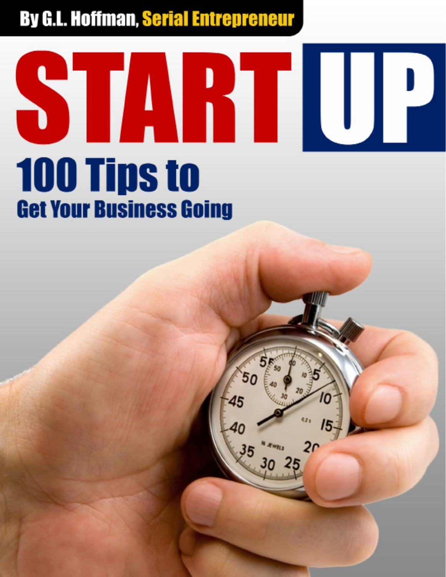### **TARTILLE**  $\sum_{i=1}^{n}$ **100 Tips to Get Your Business Going**

2r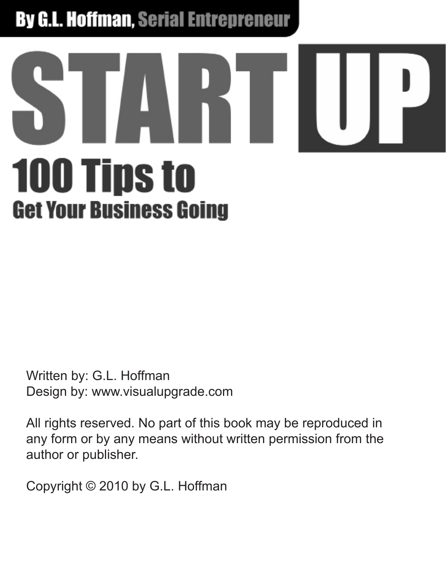# **100 Tips to Get Your Business Going**

Written by: G.L. Hoffman Design by: www.visualupgrade.com

All rights reserved. No part of this book may be reproduced in any form or by any means without written permission from the author or publisher.

Copyright © 2010 by G.L. Hoffman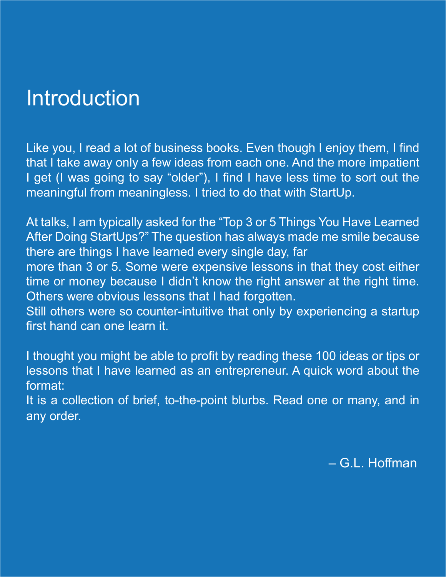#### **Introduction**

Like you, I read a lot of business books. Even though I enjoy them, I find that I take away only a few ideas from each one. And the more impatient I get (I was going to say "older"), I find I have less time to sort out the meaningful from meaningless. I tried to do that with StartUp.

At talks, I am typically asked for the "Top 3 or 5 Things You Have Learned After Doing StartUps?" The question has always made me smile because there are things I have learned every single day, far

more than 3 or 5. Some were expensive lessons in that they cost either time or money because I didn't know the right answer at the right time. Others were obvious lessons that I had forgotten.

Still others were so counter-intuitive that only by experiencing a startup first hand can one learn it.

I thought you might be able to profit by reading these 100 ideas or tips or lessons that I have learned as an entrepreneur. A quick word about the format:

It is a collection of brief, to-the-point blurbs. Read one or many, and in any order.

– G.L. Hoffman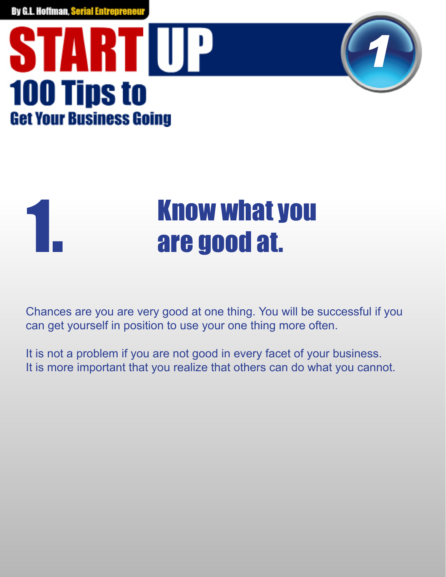#### **START UP 100 Tips to Get Your Business Going**

### **Know what you<br>are good at.**

*1*

Chances are you are very good at one thing. You will be successful if you can get yourself in position to use your one thing more often.

It is not a problem if you are not good in every facet of your business. It is more important that you realize that others can do what you cannot.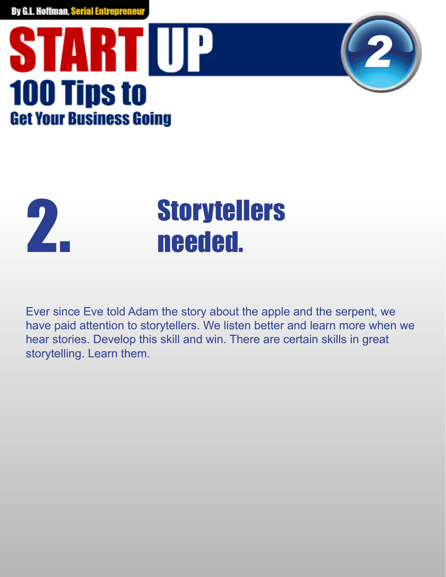### **START UP 100 Tips to Get Your Business Going**



### **2.** Storytellers<br> **2.** needed.

Ever since Eve told Adam the story about the apple and the serpent, we have paid attention to storytellers. We listen better and learn more when we hear stories. Develop this skill and win. There are certain skills in great storytelling. Learn them.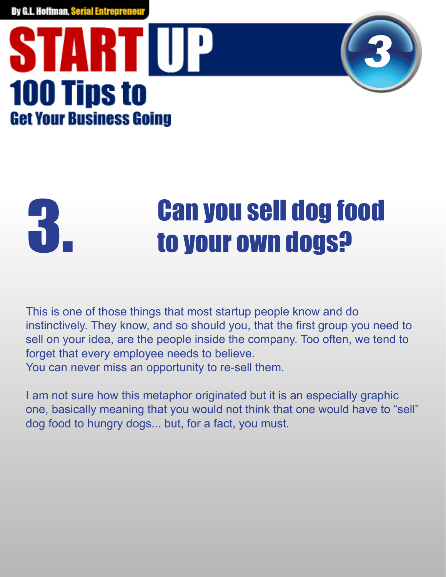#### STARTIUP **100 Tips to Get Your Business Going**



## **Can you sell dog food<br>3. to your own dogs?**

This is one of those things that most startup people know and do instinctively. They know, and so should you, that the first group you need to sell on your idea, are the people inside the company. Too often, we tend to forget that every employee needs to believe. You can never miss an opportunity to re-sell them.

I am not sure how this metaphor originated but it is an especially graphic one, basically meaning that you would not think that one would have to "sell" dog food to hungry dogs... but, for a fact, you must.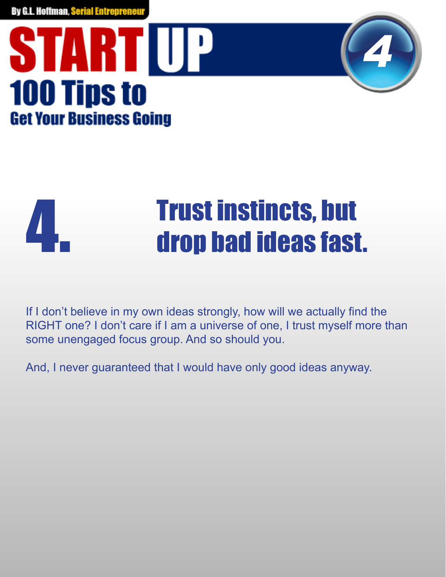



### **Trust instincts, but<br>drop bad ideas fast.**

If I don't believe in my own ideas strongly, how will we actually find the RIGHT one? I don't care if I am a universe of one, I trust myself more than some unengaged focus group. And so should you.

And, I never guaranteed that I would have only good ideas anyway.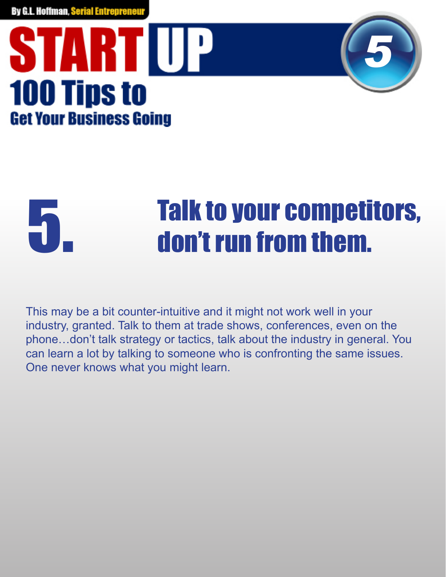#### STARTIUP **100 Tips to Get Your Business Going**



## **Talk to your competitors,<br>Theory of the set of them.**

This may be a bit counter-intuitive and it might not work well in your industry, granted. Talk to them at trade shows, conferences, even on the phone…don't talk strategy or tactics, talk about the industry in general. You can learn a lot by talking to someone who is confronting the same issues. One never knows what you might learn.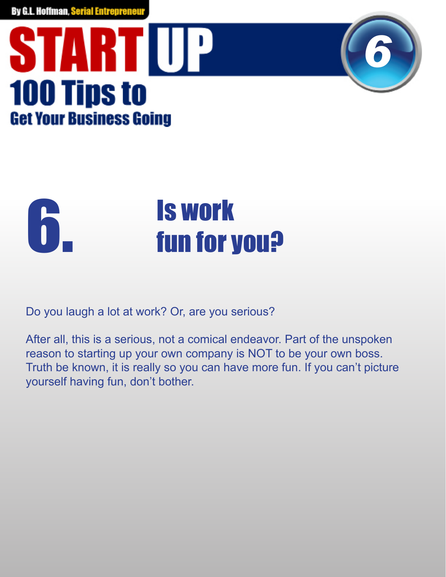



Do you laugh a lot at work? Or, are you serious?

After all, this is a serious, not a comical endeavor. Part of the unspoken reason to starting up your own company is NOT to be your own boss. Truth be known, it is really so you can have more fun. If you can't picture yourself having fun, don't bother.

*6*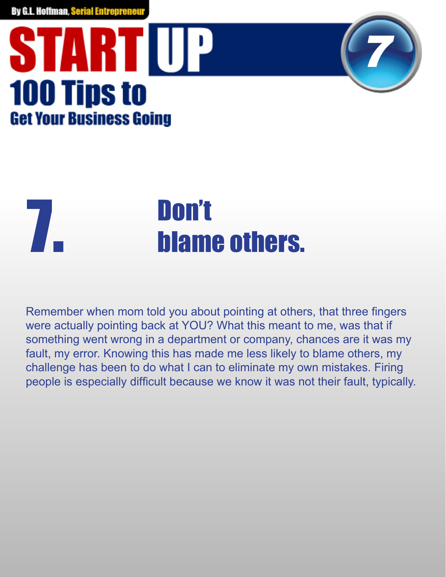### STARTUP **100 Tips to Get Your Business Going**

## **The South Science 7.**<br>The *blame* others.

Remember when mom told you about pointing at others, that three fingers were actually pointing back at YOU? What this meant to me, was that if something went wrong in a department or company, chances are it was my fault, my error. Knowing this has made me less likely to blame others, my challenge has been to do what I can to eliminate my own mistakes. Firing people is especially difficult because we know it was not their fault, typically.

*7*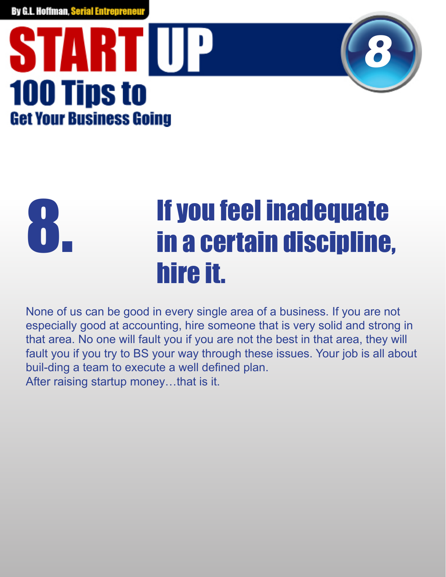#### STARTIUP **100 Tips to Get Your Business Going**



#### If you feel inadequate in a certain discipline, hire it. 8.

None of us can be good in every single area of a business. If you are not especially good at accounting, hire someone that is very solid and strong in that area. No one will fault you if you are not the best in that area, they will fault you if you try to BS your way through these issues. Your job is all about buil-ding a team to execute a well defined plan. After raising startup money…that is it.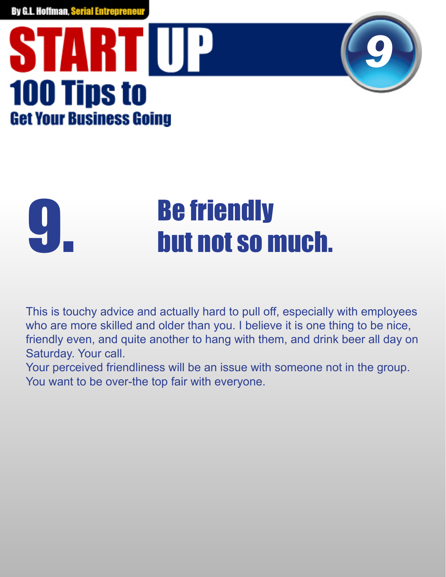#### **START UP 100 Tips to Get Your Business Going**



## **Be friendly<br>but not so much.**

This is touchy advice and actually hard to pull off, especially with employees who are more skilled and older than you. I believe it is one thing to be nice, friendly even, and quite another to hang with them, and drink beer all day on Saturday. Your call.

Your perceived friendliness will be an issue with someone not in the group. You want to be over-the top fair with everyone.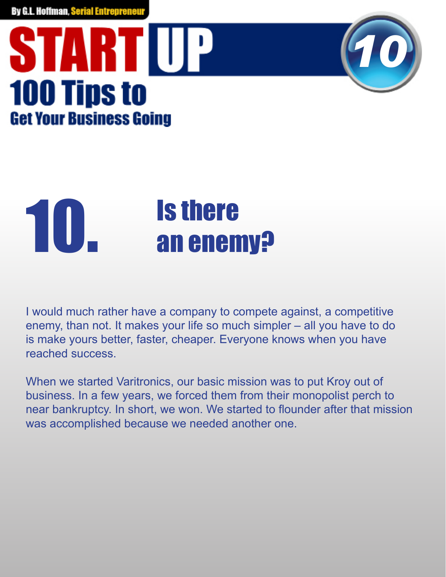### STARTUP **100 Tips to Get Your Business Going**

### **10.** Is there<br>an enemy?

I would much rather have a company to compete against, a competitive enemy, than not. It makes your life so much simpler – all you have to do is make yours better, faster, cheaper. Everyone knows when you have reached success.

*10*

When we started Varitronics, our basic mission was to put Kroy out of business. In a few years, we forced them from their monopolist perch to near bankruptcy. In short, we won. We started to flounder after that mission was accomplished because we needed another one.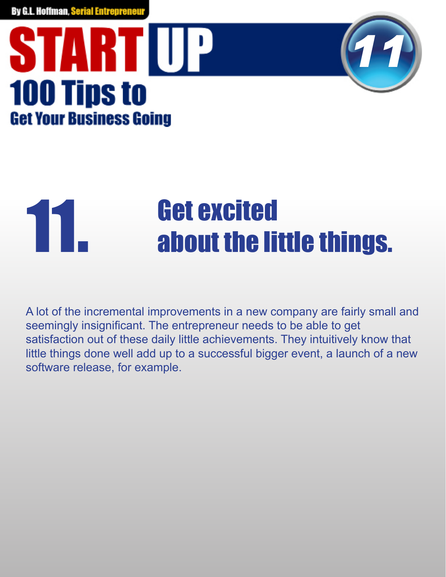#### **START UP 100 Tips to Get Your Business Going**



### **11. Get excited<br>about the little things.**

A lot of the incremental improvements in a new company are fairly small and seemingly insignificant. The entrepreneur needs to be able to get satisfaction out of these daily little achievements. They intuitively know that little things done well add up to a successful bigger event, a launch of a new software release, for example.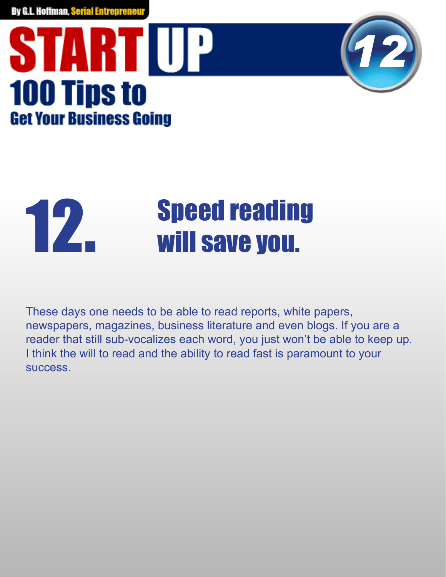#### STARTUP **100 Tips to Get Your Business Going**



### **12.** Speed reading<br>will save you.

These days one needs to be able to read reports, white papers, newspapers, magazines, business literature and even blogs. If you are a reader that still sub-vocalizes each word, you just won't be able to keep up. I think the will to read and the ability to read fast is paramount to your success.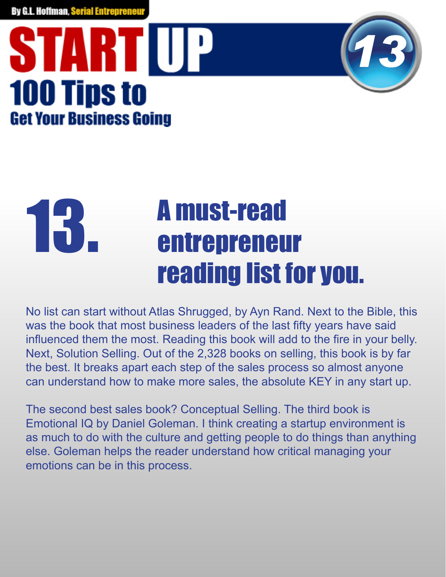### STARTIUP **100 Tips to Get Your Business Going**



#### A must-read entrepreneur reading list for you. 13.

No list can start without Atlas Shrugged, by Ayn Rand. Next to the Bible, this was the book that most business leaders of the last fifty years have said influenced them the most. Reading this book will add to the fire in your belly. Next, Solution Selling. Out of the 2,328 books on selling, this book is by far the best. It breaks apart each step of the sales process so almost anyone can understand how to make more sales, the absolute KEY in any start up.

The second best sales book? Conceptual Selling. The third book is Emotional IQ by Daniel Goleman. I think creating a startup environment is as much to do with the culture and getting people to do things than anything else. Goleman helps the reader understand how critical managing your emotions can be in this process.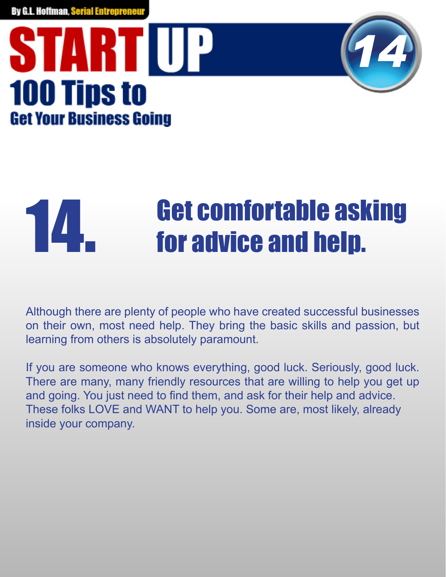#### **START UP 100 Tips to Get Your Business Going**



### **14. For advice and help.**<br>**14. for advice and help.**

Although there are plenty of people who have created successful businesses on their own, most need help. They bring the basic skills and passion, but learning from others is absolutely paramount.

If you are someone who knows everything, good luck. Seriously, good luck. There are many, many friendly resources that are willing to help you get up and going. You just need to find them, and ask for their help and advice. These folks LOVE and WANT to help you. Some are, most likely, already inside your company.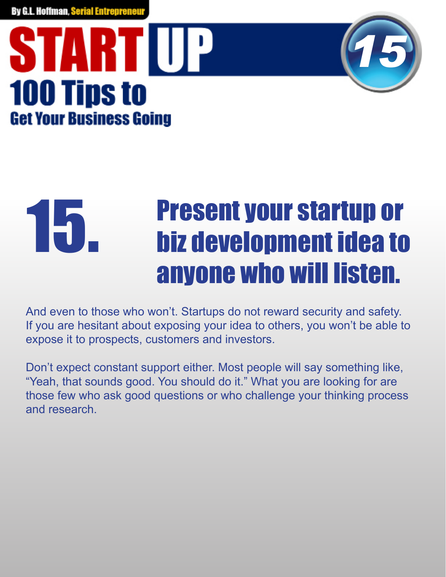#### STARTIUP **100 Tips to Get Your Business Going**



#### Present your startup or biz development idea to anyone who will listen. 15.

And even to those who won't. Startups do not reward security and safety. If you are hesitant about exposing your idea to others, you won't be able to expose it to prospects, customers and investors.

Don't expect constant support either. Most people will say something like, "Yeah, that sounds good. You should do it." What you are looking for are those few who ask good questions or who challenge your thinking process and research.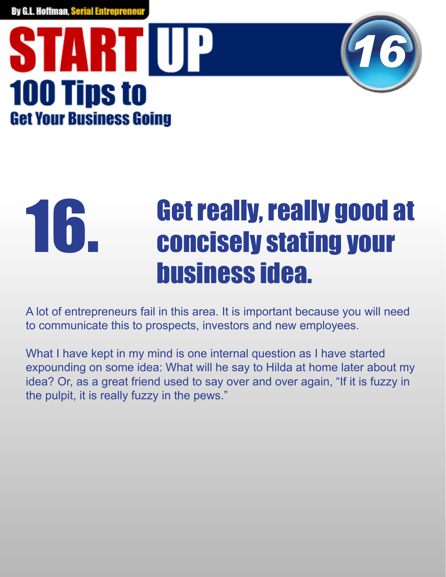#### STARTIUP **100 Tips to Get Your Business Going**



#### Get really, really good at concisely stating your business idea. 16.

A lot of entrepreneurs fail in this area. It is important because you will need to communicate this to prospects, investors and new employees.

What I have kept in my mind is one internal question as I have started expounding on some idea: What will he say to Hilda at home later about my idea? Or, as a great friend used to say over and over again, "If it is fuzzy in the pulpit, it is really fuzzy in the pews."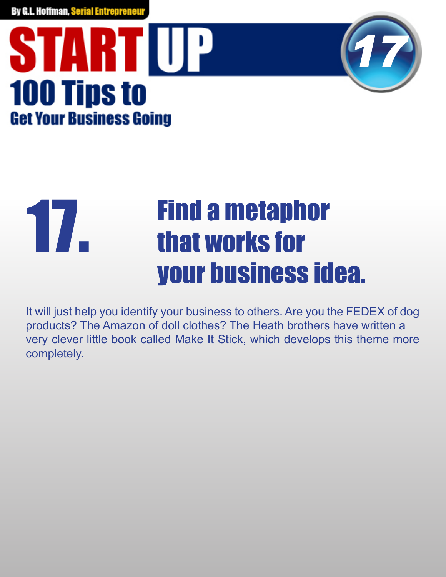



#### Find a metaphor that works for your business idea. 17.

It will just help you identify your business to others. Are you the FEDEX of dog products? The Amazon of doll clothes? The Heath brothers have written a very clever little book called Make It Stick, which develops this theme more completely.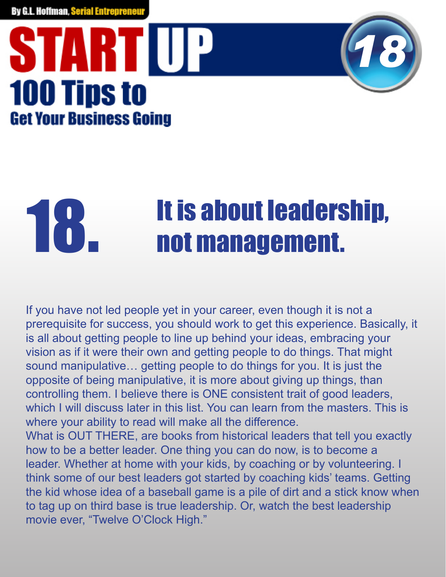### STARTIUP **100 Tips to Get Your Business Going**



## **18. It is about leadership,<br>Not management.**

If you have not led people yet in your career, even though it is not a prerequisite for success, you should work to get this experience. Basically, it is all about getting people to line up behind your ideas, embracing your vision as if it were their own and getting people to do things. That might sound manipulative… getting people to do things for you. It is just the opposite of being manipulative, it is more about giving up things, than controlling them. I believe there is ONE consistent trait of good leaders, which I will discuss later in this list. You can learn from the masters. This is where your ability to read will make all the difference. What is OUT THERE, are books from historical leaders that tell you exactly how to be a better leader. One thing you can do now, is to become a leader. Whether at home with your kids, by coaching or by volunteering. I think some of our best leaders got started by coaching kids' teams. Getting the kid whose idea of a baseball game is a pile of dirt and a stick know when to tag up on third base is true leadership. Or, watch the best leadership movie ever, "Twelve O'Clock High."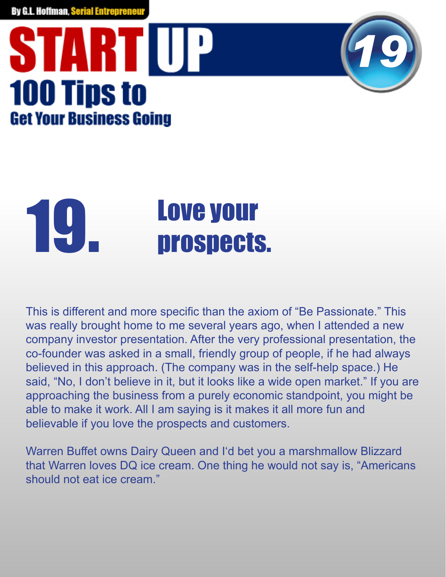### STARTIUP **100 Tips to Get Your Business Going**



This is different and more specific than the axiom of "Be Passionate." This was really brought home to me several years ago, when I attended a new company investor presentation. After the very professional presentation, the co-founder was asked in a small, friendly group of people, if he had always believed in this approach. (The company was in the self-help space.) He said, "No, I don't believe in it, but it looks like a wide open market." If you are approaching the business from a purely economic standpoint, you might be able to make it work. All I am saying is it makes it all more fun and believable if you love the prospects and customers.

*19*

Warren Buffet owns Dairy Queen and I'd bet you a marshmallow Blizzard that Warren loves DQ ice cream. One thing he would not say is, "Americans should not eat ice cream."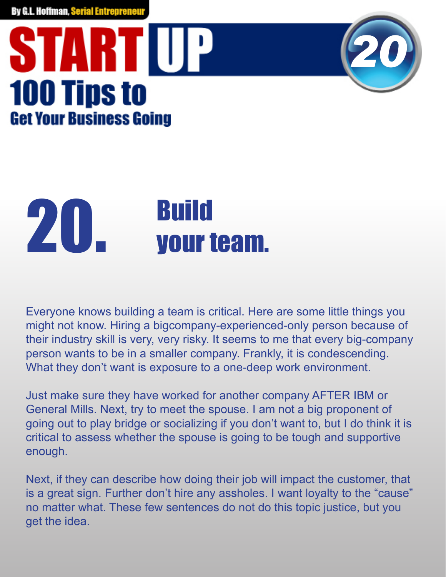### STARTIUP **100 Tips to Get Your Business Going**



## 20. Build

Everyone knows building a team is critical. Here are some little things you might not know. Hiring a bigcompany-experienced-only person because of their industry skill is very, very risky. It seems to me that every big-company person wants to be in a smaller company. Frankly, it is condescending. What they don't want is exposure to a one-deep work environment.

Just make sure they have worked for another company AFTER IBM or General Mills. Next, try to meet the spouse. I am not a big proponent of going out to play bridge or socializing if you don't want to, but I do think it is critical to assess whether the spouse is going to be tough and supportive enough.

Next, if they can describe how doing their job will impact the customer, that is a great sign. Further don't hire any assholes. I want loyalty to the "cause" no matter what. These few sentences do not do this topic justice, but you get the idea.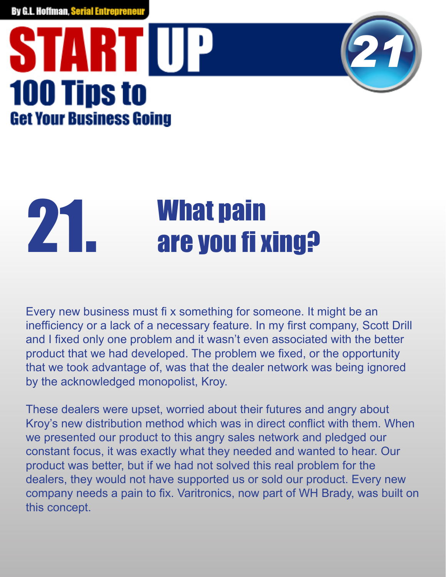#### STARTIUP **100 Tips to Get Your Business Going**



### **21. What pain<br>are you fi xing?**

Every new business must fix something for someone. It might be an inefficiency or a lack of a necessary feature. In my first company, Scott Drill and I fixed only one problem and it wasn't even associated with the better product that we had developed. The problem we fixed, or the opportunity that we took advantage of, was that the dealer network was being ignored by the acknowledged monopolist, Kroy.

These dealers were upset, worried about their futures and angry about Kroy's new distribution method which was in direct conflict with them. When we presented our product to this angry sales network and pledged our constant focus, it was exactly what they needed and wanted to hear. Our product was better, but if we had not solved this real problem for the dealers, they would not have supported us or sold our product. Every new company needs a pain to fix. Varitronics, now part of WH Brady, was built on this concept.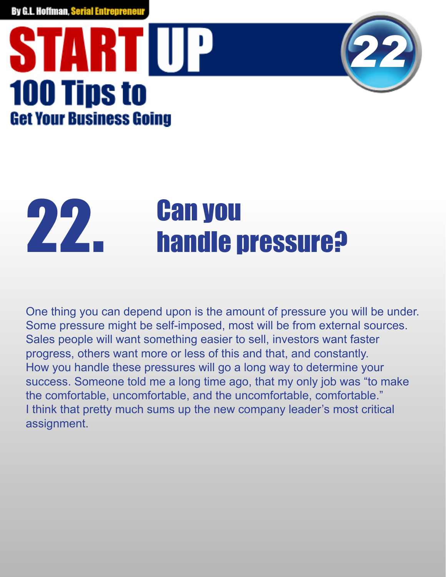### STARTUP **100 Tips to Get Your Business Going**



## **22. Can you<br>Alle pressure?**

One thing you can depend upon is the amount of pressure you will be under. Some pressure might be self-imposed, most will be from external sources. Sales people will want something easier to sell, investors want faster progress, others want more or less of this and that, and constantly. How you handle these pressures will go a long way to determine your success. Someone told me a long time ago, that my only job was "to make the comfortable, uncomfortable, and the uncomfortable, comfortable." I think that pretty much sums up the new company leader's most critical assignment.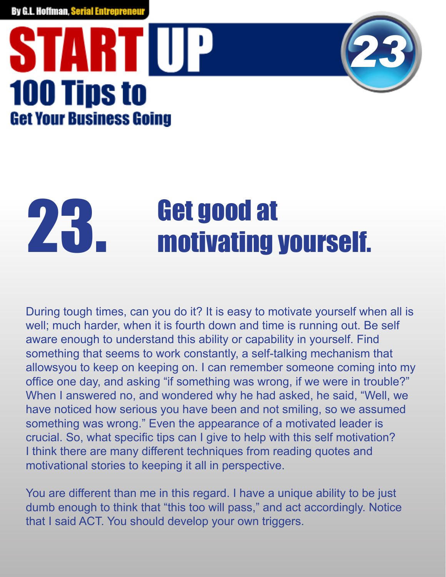### STARTIUP **100 Tips to Get Your Business Going**



## **23. Get good at and all controller and all contracts** and all all contracts.

During tough times, can you do it? It is easy to motivate yourself when all is well; much harder, when it is fourth down and time is running out. Be self aware enough to understand this ability or capability in yourself. Find something that seems to work constantly, a self-talking mechanism that allowsyou to keep on keeping on. I can remember someone coming into my office one day, and asking "if something was wrong, if we were in trouble?" When I answered no, and wondered why he had asked, he said, "Well, we have noticed how serious you have been and not smiling, so we assumed something was wrong." Even the appearance of a motivated leader is crucial. So, what specific tips can I give to help with this self motivation? I think there are many different techniques from reading quotes and motivational stories to keeping it all in perspective.

You are different than me in this regard. I have a unique ability to be just dumb enough to think that "this too will pass," and act accordingly. Notice that I said ACT. You should develop your own triggers.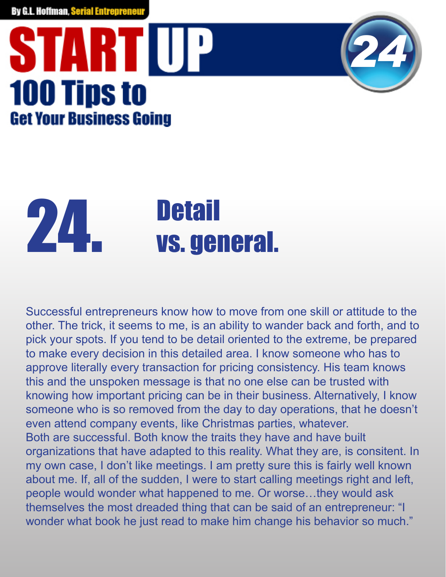### STARTIUP **100 Tips to Get Your Business Going**



## Detail 24. vs. general.

Successful entrepreneurs know how to move from one skill or attitude to the other. The trick, it seems to me, is an ability to wander back and forth, and to pick your spots. If you tend to be detail oriented to the extreme, be prepared to make every decision in this detailed area. I know someone who has to approve literally every transaction for pricing consistency. His team knows this and the unspoken message is that no one else can be trusted with knowing how important pricing can be in their business. Alternatively, I know someone who is so removed from the day to day operations, that he doesn't even attend company events, like Christmas parties, whatever. Both are successful. Both know the traits they have and have built organizations that have adapted to this reality. What they are, is consitent. In my own case, I don't like meetings. I am pretty sure this is fairly well known about me. If, all of the sudden, I were to start calling meetings right and left, people would wonder what happened to me. Or worse…they would ask themselves the most dreaded thing that can be said of an entrepreneur: "I wonder what book he just read to make him change his behavior so much."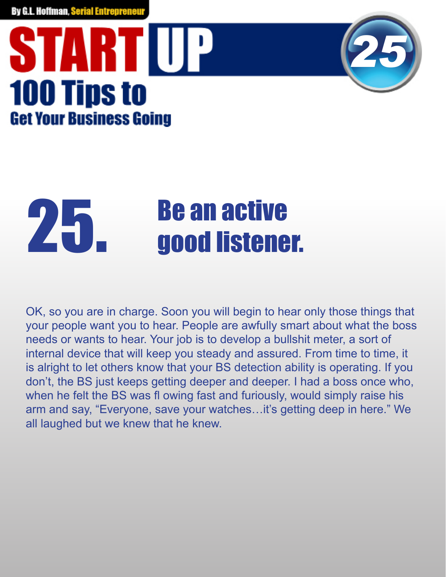### **START UP 100 Tips to Get Your Business Going**



### 25. Be an active<br>25. good listener.

OK, so you are in charge. Soon you will begin to hear only those things that your people want you to hear. People are awfully smart about what the boss needs or wants to hear. Your job is to develop a bullshit meter, a sort of internal device that will keep you steady and assured. From time to time, it is alright to let others know that your BS detection ability is operating. If you don't, the BS just keeps getting deeper and deeper. I had a boss once who, when he felt the BS was fl owing fast and furiously, would simply raise his arm and say, "Everyone, save your watches…it's getting deep in here." We all laughed but we knew that he knew.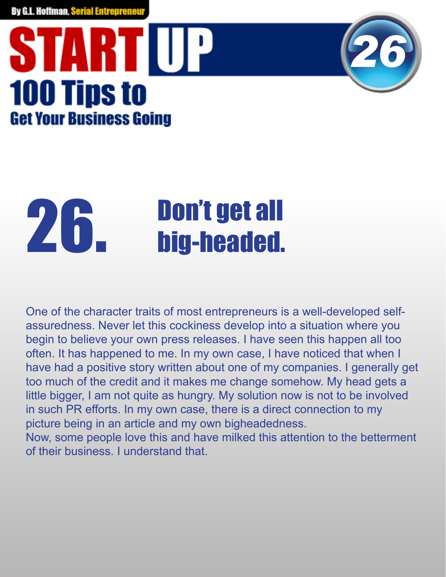### STARTIUP **100 Tips to Get Your Business Going**



## **26. big-headed.**

One of the character traits of most entrepreneurs is a well-developed selfassuredness. Never let this cockiness develop into a situation where you begin to believe your own press releases. I have seen this happen all too often. It has happened to me. In my own case, I have noticed that when I have had a positive story written about one of my companies. I generally get too much of the credit and it makes me change somehow. My head gets a little bigger, I am not quite as hungry. My solution now is not to be involved in such PR efforts. In my own case, there is a direct connection to my picture being in an article and my own bigheadedness. Now, some people love this and have milked this attention to the betterment of their business. I understand that.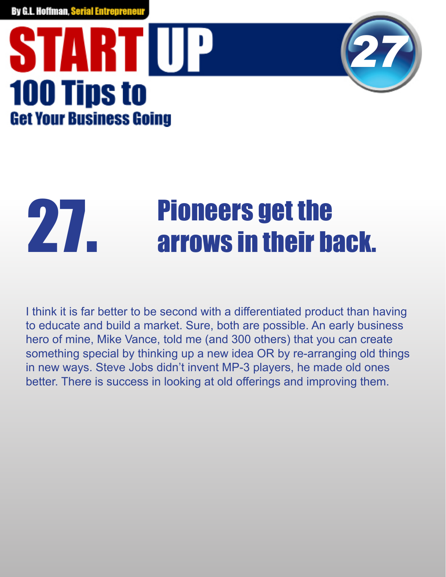#### STARTIUP **100 Tips to Get Your Business Going**



### **27. Pioneers get the 27. Arrows in their back.**

I think it is far better to be second with a differentiated product than having to educate and build a market. Sure, both are possible. An early business hero of mine, Mike Vance, told me (and 300 others) that you can create something special by thinking up a new idea OR by re-arranging old things in new ways. Steve Jobs didn't invent MP-3 players, he made old ones better. There is success in looking at old offerings and improving them.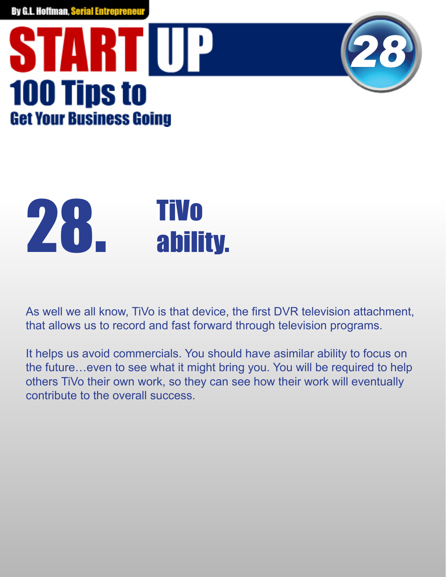### **START UP 100 Tips to Get Your Business Going**





As well we all know, TiVo is that device, the first DVR television attachment, that allows us to record and fast forward through television programs.

It helps us avoid commercials. You should have asimilar ability to focus on the future…even to see what it might bring you. You will be required to help others TiVo their own work, so they can see how their work will eventually contribute to the overall success.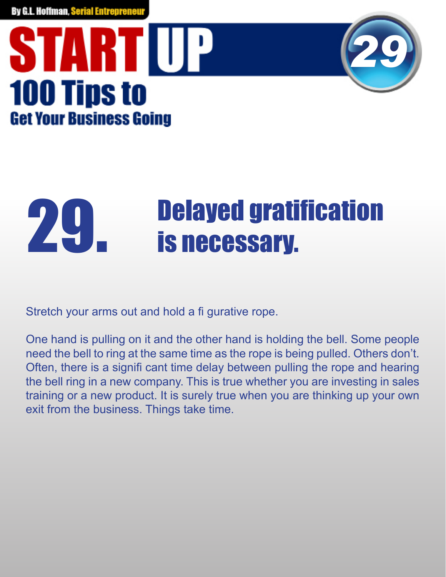



### **29. Delayed gratification**<br>is necessary.

Stretch your arms out and hold a fi gurative rope.

One hand is pulling on it and the other hand is holding the bell. Some people need the bell to ring at the same time as the rope is being pulled. Others don't. Often, there is a signifi cant time delay between pulling the rope and hearing the bell ring in a new company. This is true whether you are investing in sales training or a new product. It is surely true when you are thinking up your own exit from the business. Things take time.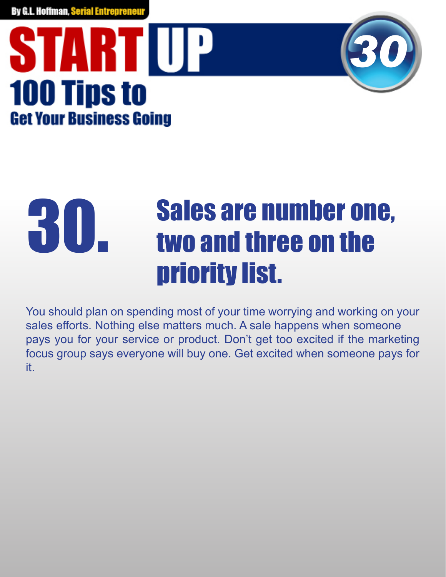#### STARTIUP **100 Tips to Get Your Business Going**



#### Sales are number one, two and three on the priority list. 30.

You should plan on spending most of your time worrying and working on your sales efforts. Nothing else matters much. A sale happens when someone pays you for your service or product. Don't get too excited if the marketing focus group says everyone will buy one. Get excited when someone pays for it.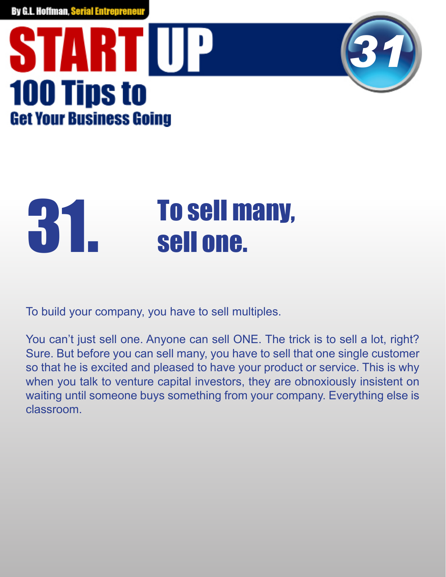



### **31. Sell one.**

To build your company, you have to sell multiples.

You can't just sell one. Anyone can sell ONE. The trick is to sell a lot, right? Sure. But before you can sell many, you have to sell that one single customer so that he is excited and pleased to have your product or service. This is why when you talk to venture capital investors, they are obnoxiously insistent on waiting until someone buys something from your company. Everything else is classroom.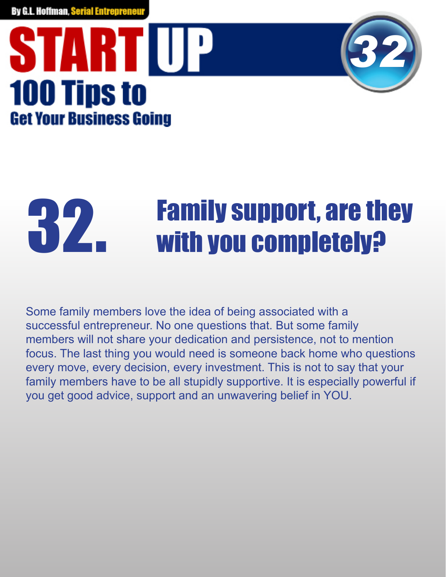#### STARTIUP **100 Tips to Get Your Business Going**



### **32.** Family support, are they vith you completely?

Some family members love the idea of being associated with a successful entrepreneur. No one questions that. But some family members will not share your dedication and persistence, not to mention focus. The last thing you would need is someone back home who questions every move, every decision, every investment. This is not to say that your family members have to be all stupidly supportive. It is especially powerful if you get good advice, support and an unwavering belief in YOU.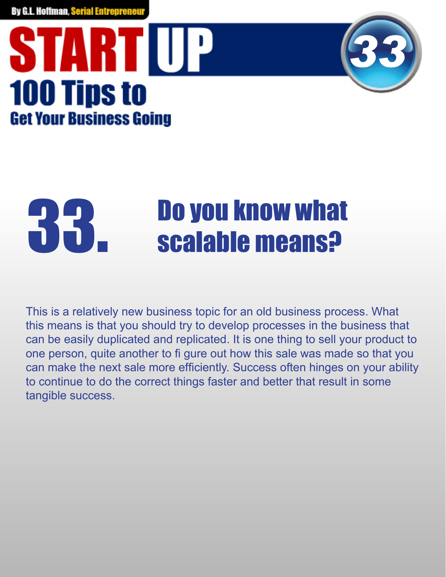#### **START UP 100 Tips to Get Your Business Going**



### **33. Do you know what scalable means?**

This is a relatively new business topic for an old business process. What this means is that you should try to develop processes in the business that can be easily duplicated and replicated. It is one thing to sell your product to one person, quite another to fi gure out how this sale was made so that you can make the next sale more efficiently. Success often hinges on your ability to continue to do the correct things faster and better that result in some tangible success.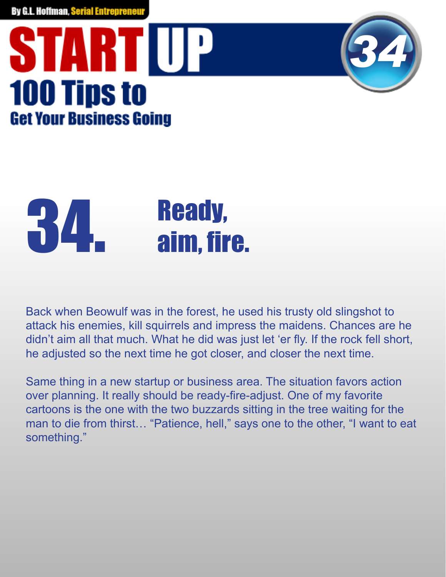### STARTIUP **100 Tips to Get Your Business Going**



## **34.** Ready,<br>aim. fire.

Back when Beowulf was in the forest, he used his trusty old slingshot to attack his enemies, kill squirrels and impress the maidens. Chances are he didn't aim all that much. What he did was just let 'er fly. If the rock fell short, he adjusted so the next time he got closer, and closer the next time.

Same thing in a new startup or business area. The situation favors action over planning. It really should be ready-fire-adjust. One of my favorite cartoons is the one with the two buzzards sitting in the tree waiting for the man to die from thirst… "Patience, hell," says one to the other, "I want to eat something."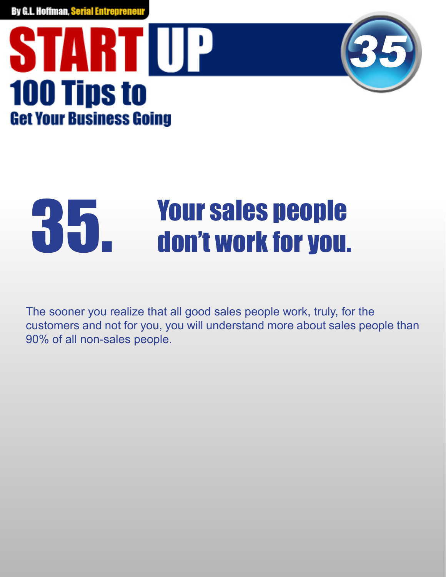



## **35. Your sales people<br>UD. don't work for you.**

The sooner you realize that all good sales people work, truly, for the customers and not for you, you will understand more about sales people than 90% of all non-sales people.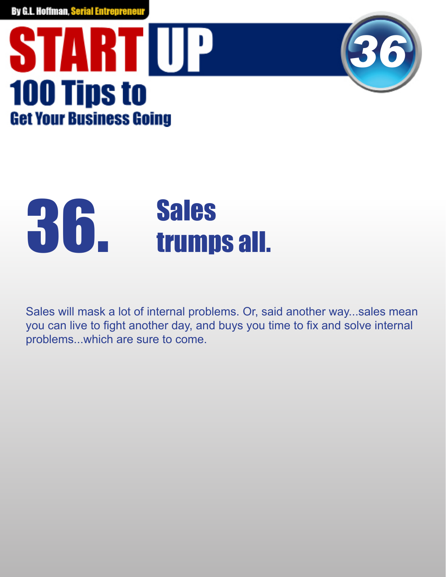



## **36. Sales<br>36. trumps all.**

Sales will mask a lot of internal problems. Or, said another way...sales mean you can live to fight another day, and buys you time to fix and solve internal problems...which are sure to come.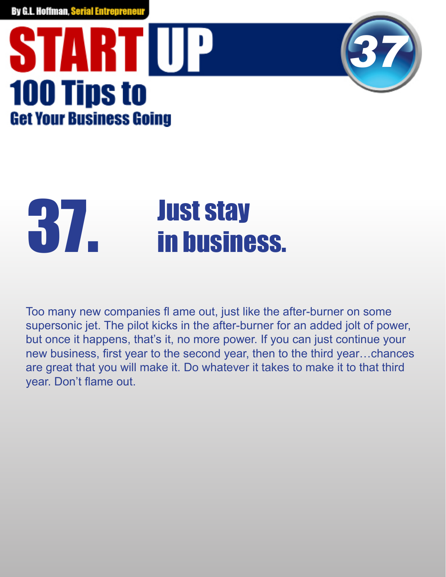### **START UP 100 Tips to Get Your Business Going**



## **Just stay<br>1977 - The Stay Stay**

Too many new companies fl ame out, just like the after-burner on some supersonic jet. The pilot kicks in the after-burner for an added jolt of power, but once it happens, that's it, no more power. If you can just continue your new business, first year to the second year, then to the third year...chances are great that you will make it. Do whatever it takes to make it to that third year. Don't flame out.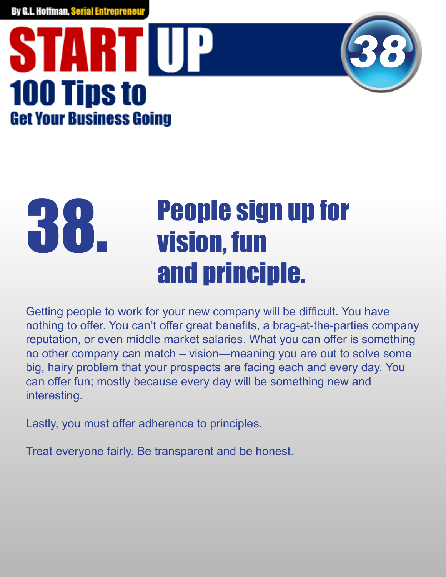### STARTIUP **100 Tips to Get Your Business Going**



#### People sign up for vision, fun and principle. 38.

Getting people to work for your new company will be difficult. You have nothing to offer. You can't offer great benefits, a brag-at-the-parties company reputation, or even middle market salaries. What you can offer is something no other company can match – vision—meaning you are out to solve some big, hairy problem that your prospects are facing each and every day. You can offer fun; mostly because every day will be something new and interesting.

Lastly, you must offer adherence to principles.

Treat everyone fairly. Be transparent and be honest.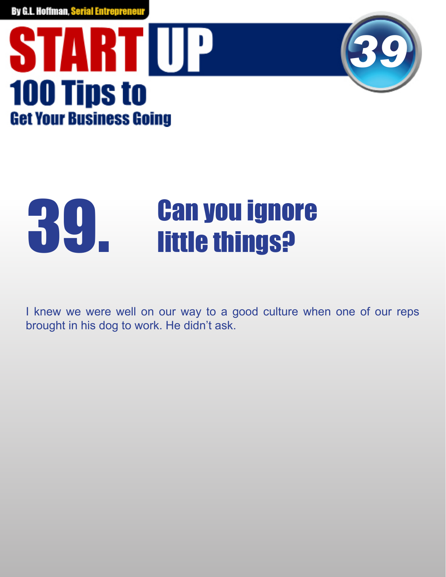



## **39. Can you ignore<br>Departure things?**

I knew we were well on our way to a good culture when one of our reps brought in his dog to work. He didn't ask.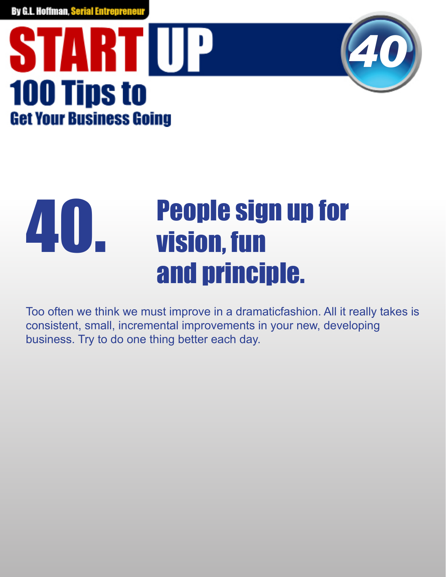



#### People sign up for vision, fun and principle. 40.

Too often we think we must improve in a dramaticfashion. All it really takes is consistent, small, incremental improvements in your new, developing business. Try to do one thing better each day.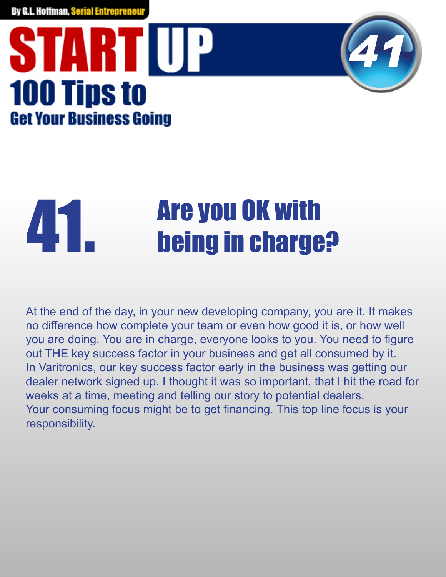### STARTIUP **100 Tips to Get Your Business Going**



## **Are you OK with<br>
and the arguments of the set of the set of the set of the set of the set of the set of the set of the set of the set of the set of the set of the set of the set of the set of the set of the set of the set**

At the end of the day, in your new developing company, you are it. It makes no difference how complete your team or even how good it is, or how well you are doing. You are in charge, everyone looks to you. You need to figure out THE key success factor in your business and get all consumed by it. In Varitronics, our key success factor early in the business was getting our dealer network signed up. I thought it was so important, that I hit the road for weeks at a time, meeting and telling our story to potential dealers. Your consuming focus might be to get financing. This top line focus is your responsibility.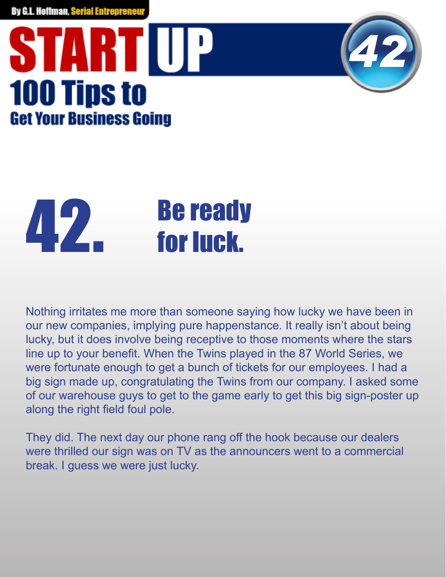### **START UP 100 Tips to Get Your Business Going**



# 42. Be ready<br>for luck.

Nothing irritates me more than someone saying how lucky we have been in our new companies, implying pure happenstance. It really isn't about being lucky, but it does involve being receptive to those moments where the stars line up to your benefit. When the Twins played in the 87 World Series, we were fortunate enough to get a bunch of tickets for our employees. I had a big sign made up, congratulating the Twins from our company. I asked some of our warehouse guys to get to the game early to get this big sign-poster up along the right field foul pole.

They did. The next day our phone rang off the hook because our dealers were thrilled our sign was on TV as the announcers went to a commercial break. I guess we were just lucky.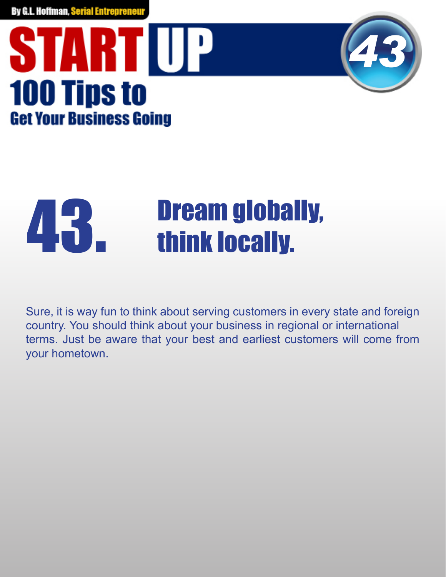



## **43. Dream globally,<br>think locally.**

Sure, it is way fun to think about serving customers in every state and foreign country. You should think about your business in regional or international terms. Just be aware that your best and earliest customers will come from your hometown.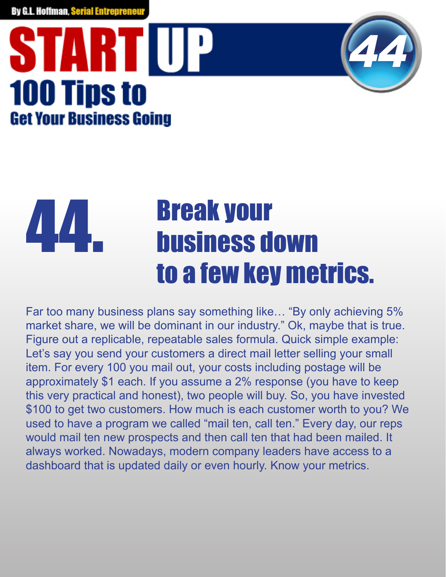### STARTIUP **100 Tips to Get Your Business Going**



#### Break your business down to a few key metrics. 44.

Far too many business plans say something like… "By only achieving 5% market share, we will be dominant in our industry." Ok, maybe that is true. Figure out a replicable, repeatable sales formula. Quick simple example: Let's say you send your customers a direct mail letter selling your small item. For every 100 you mail out, your costs including postage will be approximately \$1 each. If you assume a 2% response (you have to keep this very practical and honest), two people will buy. So, you have invested \$100 to get two customers. How much is each customer worth to you? We used to have a program we called "mail ten, call ten." Every day, our reps would mail ten new prospects and then call ten that had been mailed. It always worked. Nowadays, modern company leaders have access to a dashboard that is updated daily or even hourly. Know your metrics.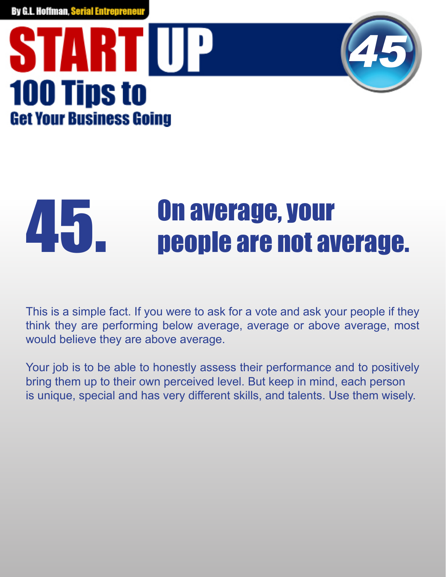### STARTIUP **100 Tips to Get Your Business Going**



## **45. Deeple are not average.**

This is a simple fact. If you were to ask for a vote and ask your people if they think they are performing below average, average or above average, most would believe they are above average.

Your job is to be able to honestly assess their performance and to positively bring them up to their own perceived level. But keep in mind, each person is unique, special and has very different skills, and talents. Use them wisely.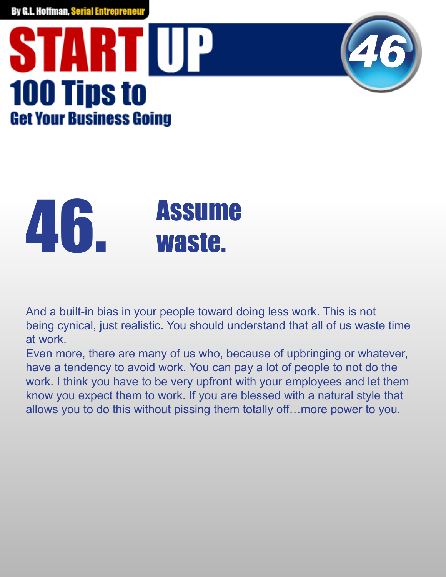#### **START UP 100 Tips to Get Your Business Going**



*46*



Even more, there are many of us who, because of upbringing or whatever, have a tendency to avoid work. You can pay a lot of people to not do the work. I think you have to be very upfront with your employees and let them know you expect them to work. If you are blessed with a natural style that allows you to do this without pissing them totally off…more power to you.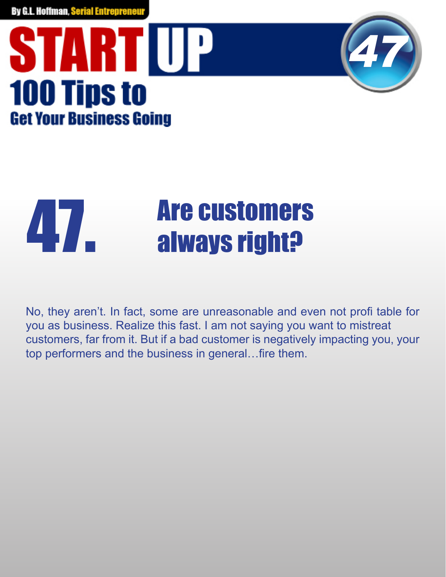#### STARTUP **100 Tips to Get Your Business Going**



### **47. Are customers<br>always right?**

No, they aren't. In fact, some are unreasonable and even not profi table for you as business. Realize this fast. I am not saying you want to mistreat customers, far from it. But if a bad customer is negatively impacting you, your top performers and the business in general...fire them.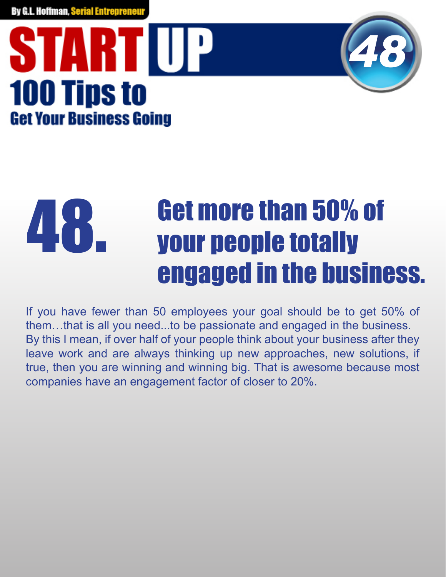### STARTIUP **100 Tips to Get Your Business Going**



#### Get more than 50% of your people totally engaged in the business. 48

If you have fewer than 50 employees your goal should be to get 50% of them…that is all you need...to be passionate and engaged in the business. By this I mean, if over half of your people think about your business after they leave work and are always thinking up new approaches, new solutions, if true, then you are winning and winning big. That is awesome because most companies have an engagement factor of closer to 20%.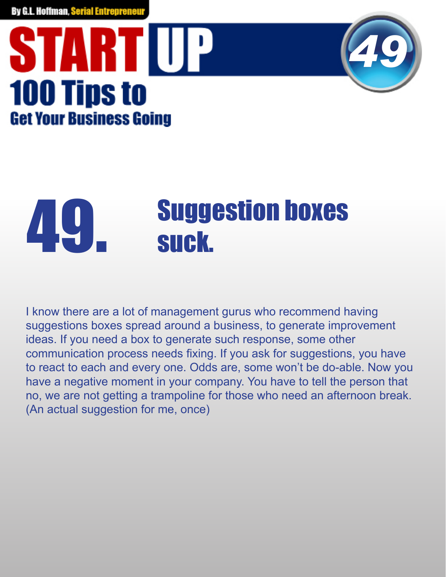### **START UP 100 Tips to Get Your Business Going**



## **Suggestion boxes<br>suck.**

I know there are a lot of management gurus who recommend having suggestions boxes spread around a business, to generate improvement ideas. If you need a box to generate such response, some other communication process needs fixing. If you ask for suggestions, you have to react to each and every one. Odds are, some won't be do-able. Now you have a negative moment in your company. You have to tell the person that no, we are not getting a trampoline for those who need an afternoon break. (An actual suggestion for me, once)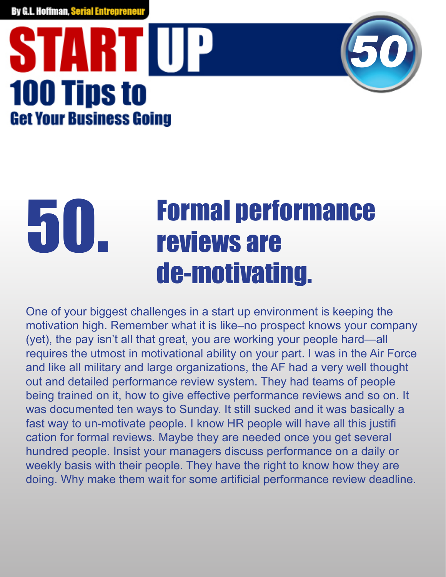### **START UP 100 Tips to Get Your Business Going**



#### Formal performance reviews are de-motivating. 50.

One of your biggest challenges in a start up environment is keeping the motivation high. Remember what it is like–no prospect knows your company (yet), the pay isn't all that great, you are working your people hard—all requires the utmost in motivational ability on your part. I was in the Air Force and like all military and large organizations, the AF had a very well thought out and detailed performance review system. They had teams of people being trained on it, how to give effective performance reviews and so on. It was documented ten ways to Sunday. It still sucked and it was basically a fast way to un-motivate people. I know HR people will have all this justifi cation for formal reviews. Maybe they are needed once you get several hundred people. Insist your managers discuss performance on a daily or weekly basis with their people. They have the right to know how they are doing. Why make them wait for some artificial performance review deadline.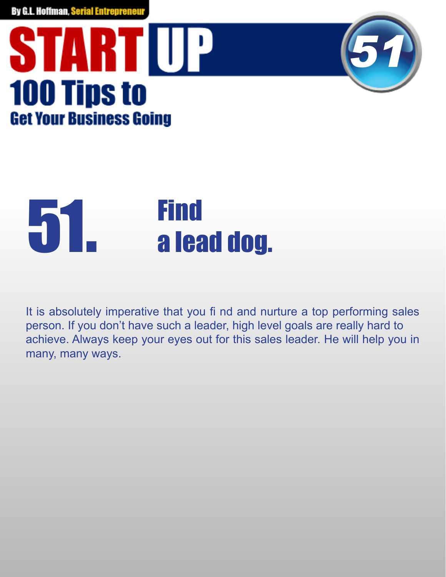### **START UP 100 Tips to Get Your Business Going**



### Find 51. a lead dog.

It is absolutely imperative that you fi nd and nurture a top performing sales person. If you don't have such a leader, high level goals are really hard to achieve. Always keep your eyes out for this sales leader. He will help you in many, many ways.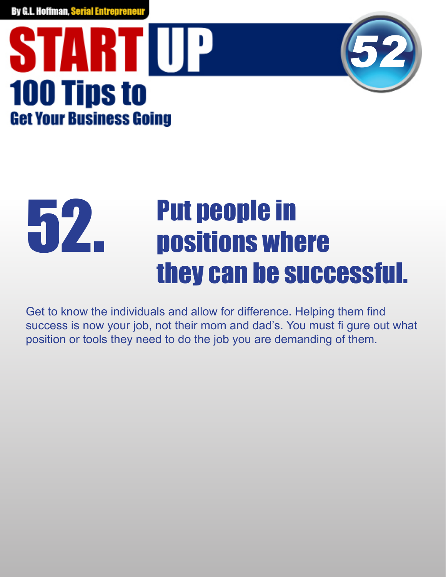### STARTIUP **100 Tips to Get Your Business Going**



#### Put people in positions where they can be successful. 52.

Get to know the individuals and allow for difference. Helping them find success is now your job, not their mom and dad's. You must fi gure out what position or tools they need to do the job you are demanding of them.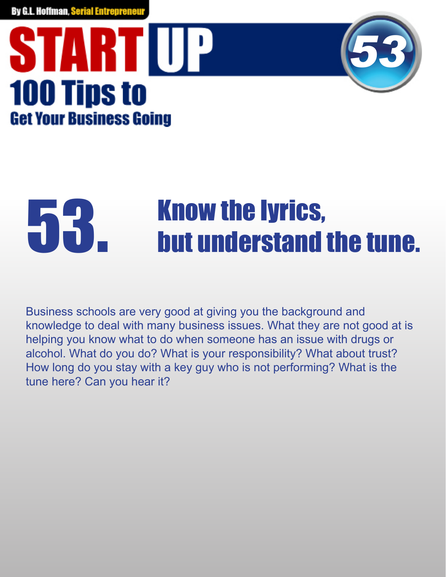### STARTIUP **100 Tips to Get Your Business Going**



## **53. Know the lyrics,<br>but understand the tune.**

Business schools are very good at giving you the background and knowledge to deal with many business issues. What they are not good at is helping you know what to do when someone has an issue with drugs or alcohol. What do you do? What is your responsibility? What about trust? How long do you stay with a key guy who is not performing? What is the tune here? Can you hear it?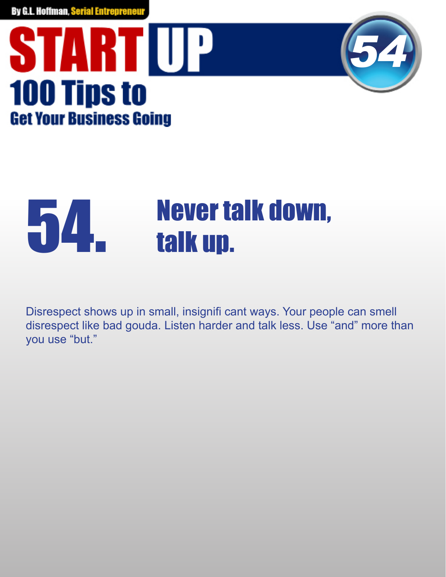



### **54. Never talk down,<br>alk up.**

Disrespect shows up in small, insignifi cant ways. Your people can smell disrespect like bad gouda. Listen harder and talk less. Use "and" more than you use "but."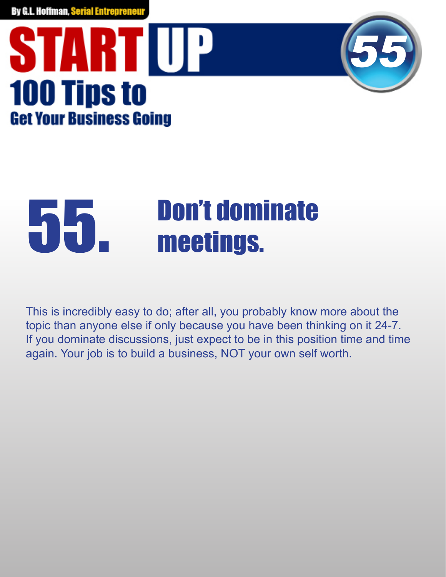



## 55. Don't dominate

This is incredibly easy to do; after all, you probably know more about the topic than anyone else if only because you have been thinking on it 24-7. If you dominate discussions, just expect to be in this position time and time again. Your job is to build a business, NOT your own self worth.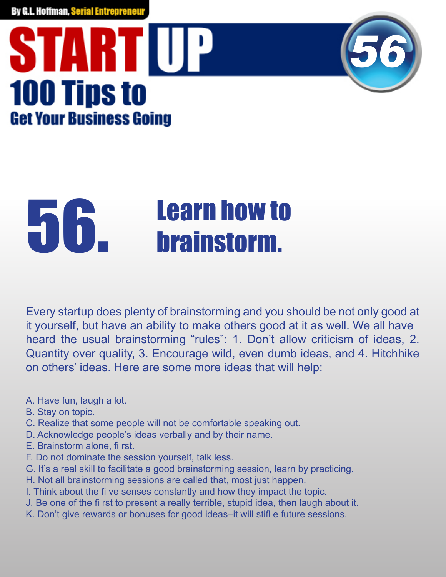### STARTUP **100 Tips to Get Your Business Going**



Every startup does plenty of brainstorming and you should be not only good at it yourself, but have an ability to make others good at it as well. We all have heard the usual brainstorming "rules": 1. Don't allow criticism of ideas, 2. Quantity over quality, 3. Encourage wild, even dumb ideas, and 4. Hitchhike on others' ideas. Here are some more ideas that will help:

*56*

- A. Have fun, laugh a lot.
- B. Stay on topic.
- C. Realize that some people will not be comfortable speaking out.
- D. Acknowledge people's ideas verbally and by their name.
- E. Brainstorm alone, fi rst.
- F. Do not dominate the session yourself, talk less.
- G. It's a real skill to facilitate a good brainstorming session, learn by practicing.
- H. Not all brainstorming sessions are called that, most just happen.
- I. Think about the five senses constantly and how they impact the topic.
- J. Be one of the first to present a really terrible, stupid idea, then laugh about it.
- K. Don't give rewards or bonuses for good ideas-it will stifl e future sessions.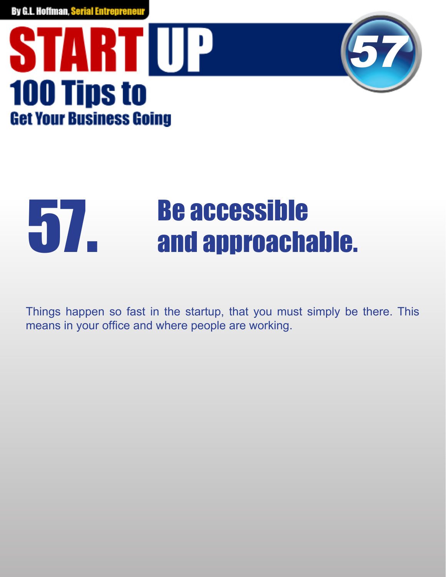



### **Be accessible<br>
and approachable.**

Things happen so fast in the startup, that you must simply be there. This means in your office and where people are working.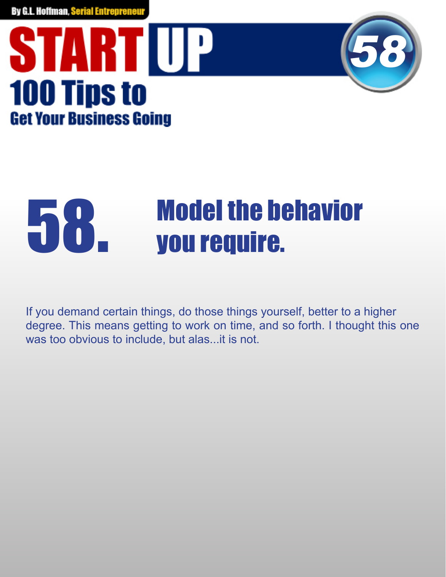



## **58. Wodel the behavior<br>UPPERTY SOLUTE:**

If you demand certain things, do those things yourself, better to a higher degree. This means getting to work on time, and so forth. I thought this one was too obvious to include, but alas...it is not.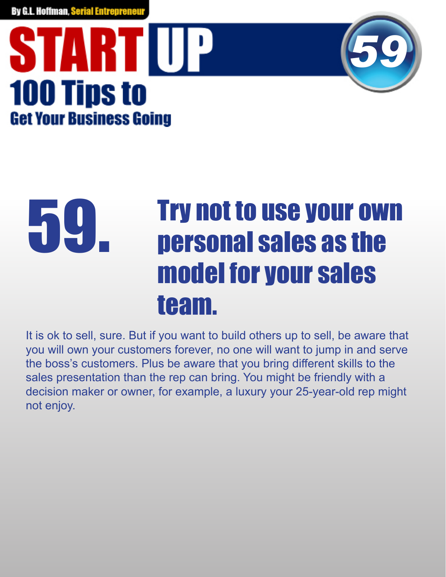### STARTIUP **100 Tips to Get Your Business Going**



#### Try not to use your own personal sales as the model for your sales team. 59

It is ok to sell, sure. But if you want to build others up to sell, be aware that you will own your customers forever, no one will want to jump in and serve the boss's customers. Plus be aware that you bring different skills to the sales presentation than the rep can bring. You might be friendly with a decision maker or owner, for example, a luxury your 25-year-old rep might not enjoy.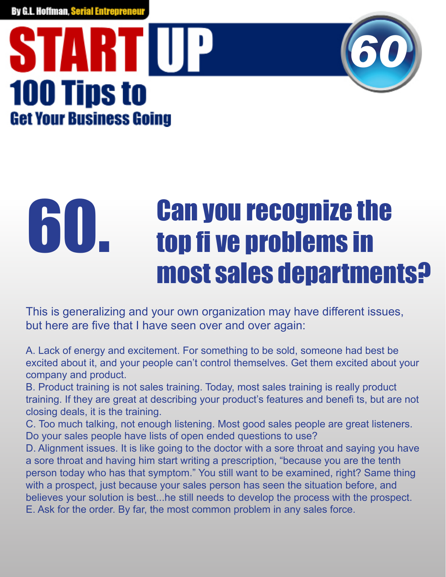### STARTIUP **100 Tips to Get Your Business Going**



#### Can you recognize the top fi ve problems in most sales departments? 60

This is generalizing and your own organization may have different issues, but here are five that I have seen over and over again:

A. Lack of energy and excitement. For something to be sold, someone had best be excited about it, and your people can't control themselves. Get them excited about your company and product.

B. Product training is not sales training. Today, most sales training is really product training. If they are great at describing your product's features and benefits, but are not closing deals, it is the training.

C. Too much talking, not enough listening. Most good sales people are great listeners. Do your sales people have lists of open ended questions to use?

D. Alignment issues. It is like going to the doctor with a sore throat and saying you have a sore throat and having him start writing a prescription, "because you are the tenth person today who has that symptom." You still want to be examined, right? Same thing with a prospect, just because your sales person has seen the situation before, and believes your solution is best...he still needs to develop the process with the prospect. E. Ask for the order. By far, the most common problem in any sales force.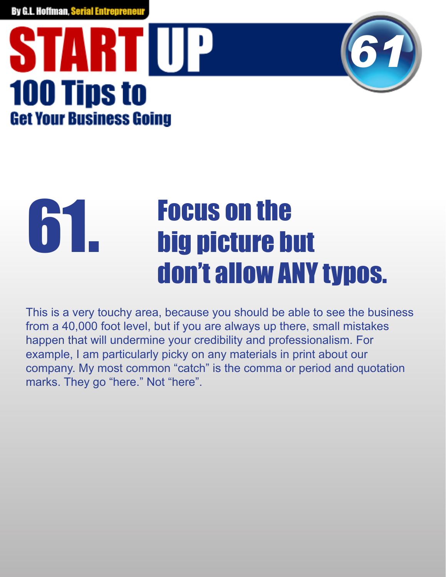### STARTIUP **100 Tips to Get Your Business Going**



#### Focus on the big picture but don't allow ANY typos. 61.

This is a very touchy area, because you should be able to see the business from a 40,000 foot level, but if you are always up there, small mistakes happen that will undermine your credibility and professionalism. For example, I am particularly picky on any materials in print about our company. My most common "catch" is the comma or period and quotation marks. They go "here." Not "here".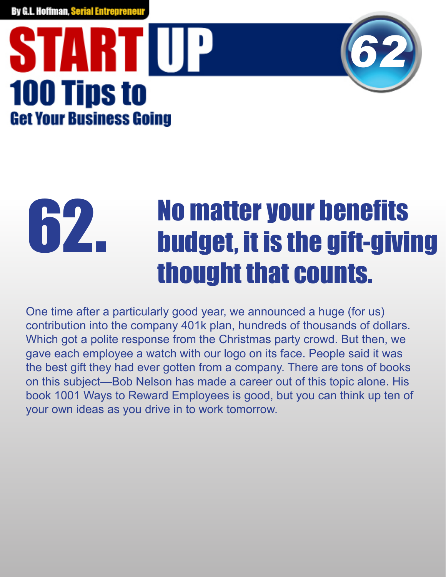### STARTIUP **100 Tips to Get Your Business Going**



#### **No matter your benefits** budget, it is the gift-giving thought that counts. 62.

One time after a particularly good year, we announced a huge (for us) contribution into the company 401k plan, hundreds of thousands of dollars. Which got a polite response from the Christmas party crowd. But then, we gave each employee a watch with our logo on its face. People said it was the best gift they had ever gotten from a company. There are tons of books on this subject—Bob Nelson has made a career out of this topic alone. His book 1001 Ways to Reward Employees is good, but you can think up ten of your own ideas as you drive in to work tomorrow.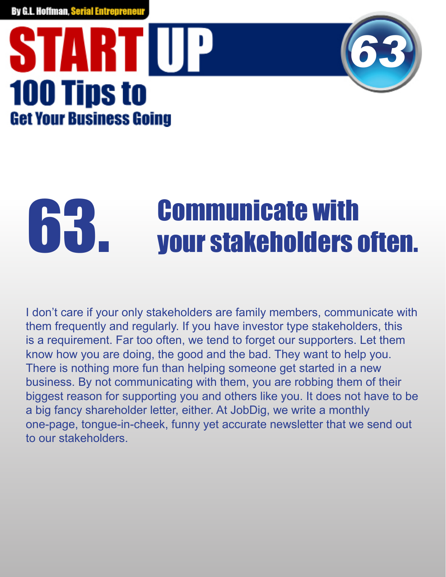### STARTIUP **100 Tips to Get Your Business Going**



# **G3.** Communicate with<br> **G3.** your stakeholders often.

I don't care if your only stakeholders are family members, communicate with them frequently and regularly. If you have investor type stakeholders, this is a requirement. Far too often, we tend to forget our supporters. Let them know how you are doing, the good and the bad. They want to help you. There is nothing more fun than helping someone get started in a new business. By not communicating with them, you are robbing them of their biggest reason for supporting you and others like you. It does not have to be a big fancy shareholder letter, either. At JobDig, we write a monthly one-page, tongue-in-cheek, funny yet accurate newsletter that we send out to our stakeholders.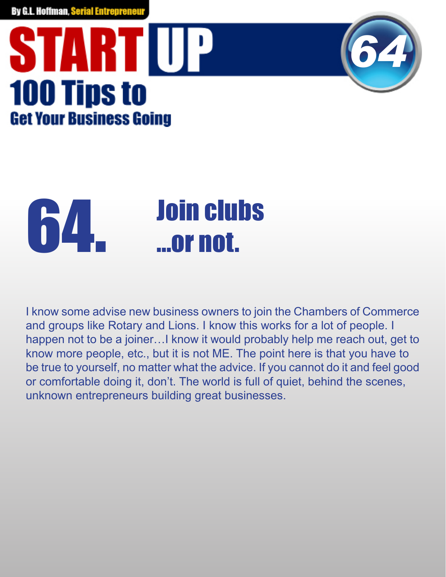### STARTUP **100 Tips to Get Your Business Going**



## **64.** Join clubs<br>
...or not.

I know some advise new business owners to join the Chambers of Commerce and groups like Rotary and Lions. I know this works for a lot of people. I happen not to be a joiner…I know it would probably help me reach out, get to know more people, etc., but it is not ME. The point here is that you have to be true to yourself, no matter what the advice. If you cannot do it and feel good or comfortable doing it, don't. The world is full of quiet, behind the scenes, unknown entrepreneurs building great businesses.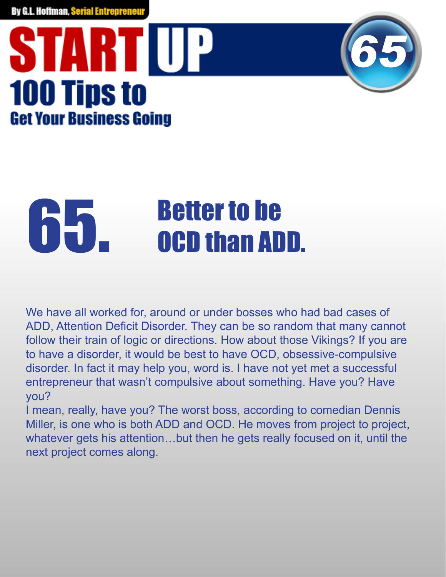### STARTIUP **100 Tips to Get Your Business Going**



## **65. Better to be<br>CD. CCD than ADD.**

We have all worked for, around or under bosses who had bad cases of ADD, Attention Deficit Disorder. They can be so random that many cannot follow their train of logic or directions. How about those Vikings? If you are to have a disorder, it would be best to have OCD, obsessive-compulsive disorder. In fact it may help you, word is. I have not yet met a successful entrepreneur that wasn't compulsive about something. Have you? Have you?

I mean, really, have you? The worst boss, according to comedian Dennis Miller, is one who is both ADD and OCD. He moves from project to project, whatever gets his attention…but then he gets really focused on it, until the next project comes along.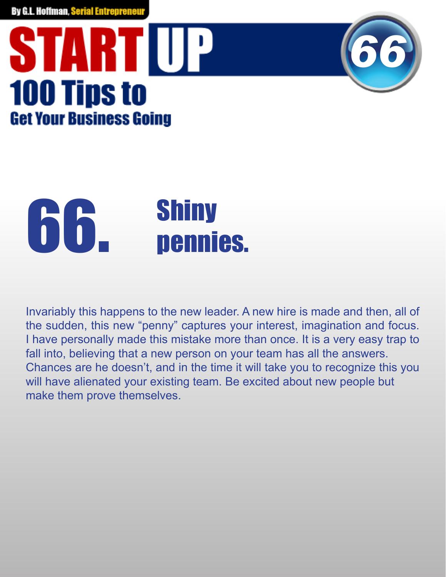### **START UP 100 Tips to Get Your Business Going**



## 66. Shiny<br>Dennies.

Invariably this happens to the new leader. A new hire is made and then, all of the sudden, this new "penny" captures your interest, imagination and focus. I have personally made this mistake more than once. It is a very easy trap to fall into, believing that a new person on your team has all the answers. Chances are he doesn't, and in the time it will take you to recognize this you will have alienated your existing team. Be excited about new people but make them prove themselves.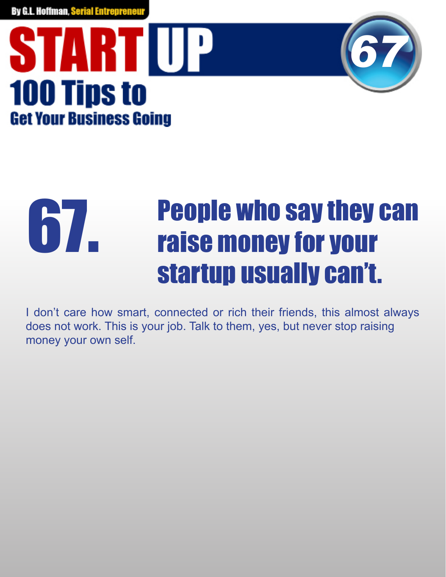



#### People who say they can raise money for your startup usually can't. 67.

I don't care how smart, connected or rich their friends, this almost always does not work. This is your job. Talk to them, yes, but never stop raising money your own self.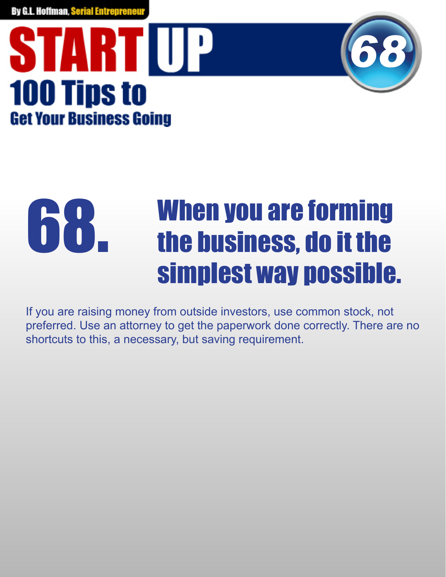



#### When you are forming the business, do it the simplest way possible. **10.1**

If you are raising money from outside investors, use common stock, not preferred. Use an attorney to get the paperwork done correctly. There are no shortcuts to this, a necessary, but saving requirement.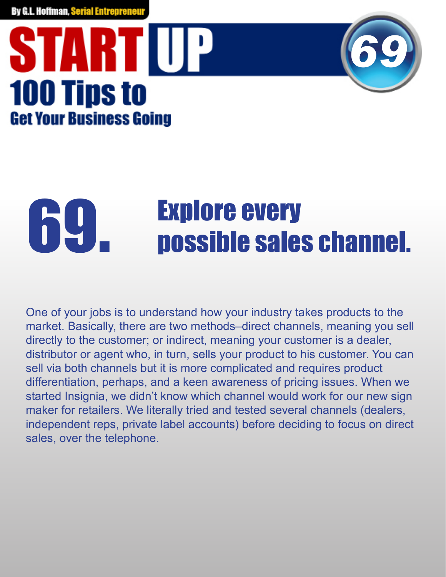### STARTIUP **100 Tips to Get Your Business Going**



# **69. Explore every<br>
possible sales channel.**

One of your jobs is to understand how your industry takes products to the market. Basically, there are two methods–direct channels, meaning you sell directly to the customer; or indirect, meaning your customer is a dealer, distributor or agent who, in turn, sells your product to his customer. You can sell via both channels but it is more complicated and requires product differentiation, perhaps, and a keen awareness of pricing issues. When we started Insignia, we didn't know which channel would work for our new sign maker for retailers. We literally tried and tested several channels (dealers, independent reps, private label accounts) before deciding to focus on direct sales, over the telephone.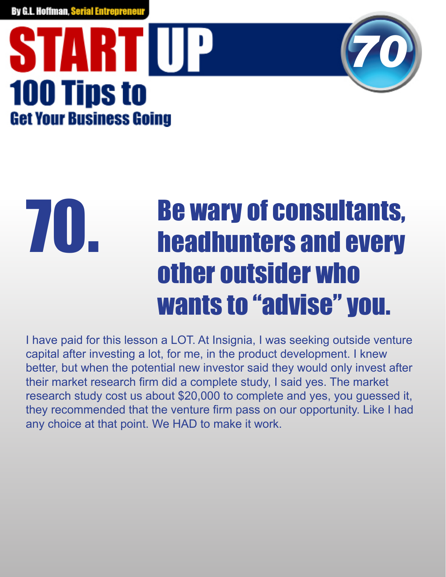### STARTIUP **100 Tips to Get Your Business Going**



#### Be wary of consultants, headhunters and every other outsider who wants to "advise" you. 70.

I have paid for this lesson a LOT. At Insignia, I was seeking outside venture capital after investing a lot, for me, in the product development. I knew better, but when the potential new investor said they would only invest after their market research firm did a complete study, I said yes. The market research study cost us about \$20,000 to complete and yes, you guessed it, they recommended that the venture firm pass on our opportunity. Like I had any choice at that point. We HAD to make it work.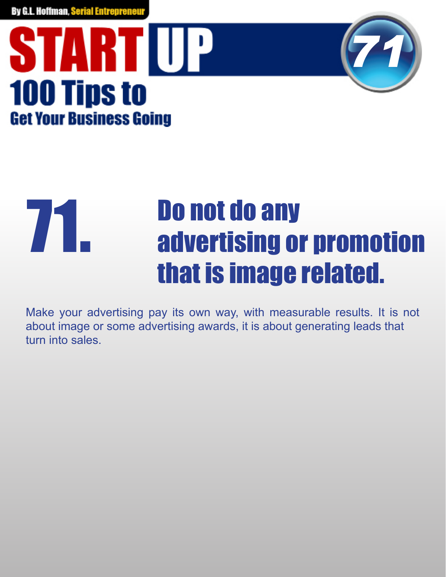



#### Do not do any advertising or promotion that is image related. 71.

Make your advertising pay its own way, with measurable results. It is not about image or some advertising awards, it is about generating leads that turn into sales.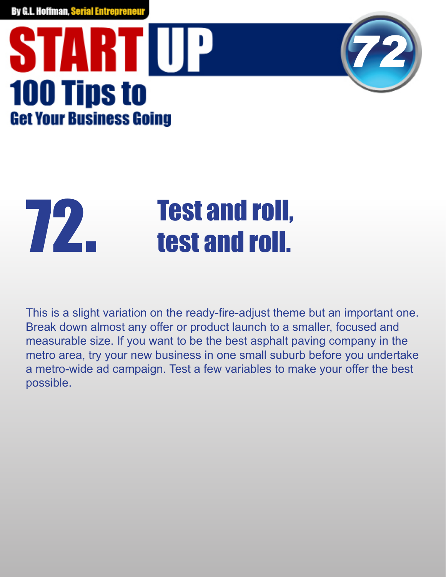### STARTUP **100 Tips to Get Your Business Going**



## **Test and roll,<br>Test and roll.**

This is a slight variation on the ready-fire-adjust theme but an important one. Break down almost any offer or product launch to a smaller, focused and measurable size. If you want to be the best asphalt paving company in the metro area, try your new business in one small suburb before you undertake a metro-wide ad campaign. Test a few variables to make your offer the best possible.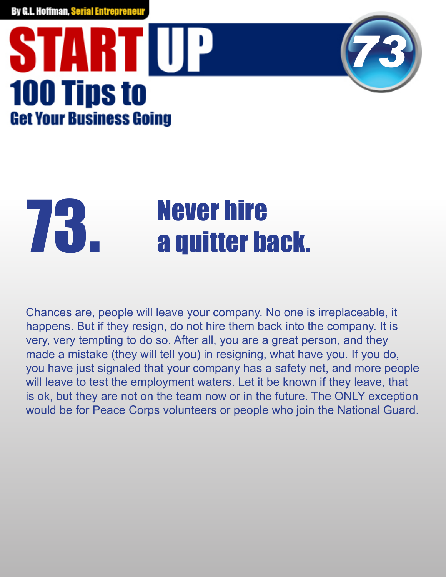### STARTIUP **100 Tips to Get Your Business Going**



# **73. Never hire<br>And Society Admitter back.**

Chances are, people will leave your company. No one is irreplaceable, it happens. But if they resign, do not hire them back into the company. It is very, very tempting to do so. After all, you are a great person, and they made a mistake (they will tell you) in resigning, what have you. If you do, you have just signaled that your company has a safety net, and more people will leave to test the employment waters. Let it be known if they leave, that is ok, but they are not on the team now or in the future. The ONLY exception would be for Peace Corps volunteers or people who join the National Guard.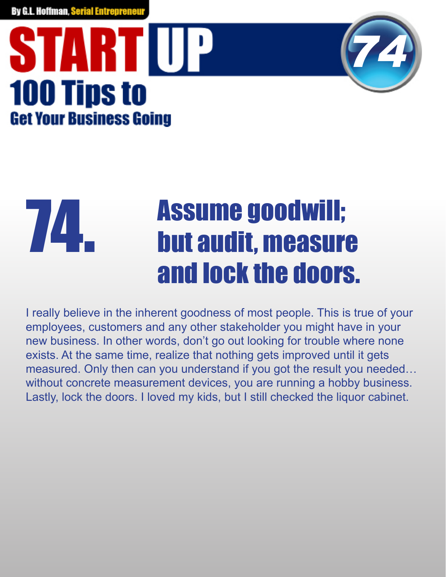### STARTIUP **100 Tips to Get Your Business Going**



#### Assume goodwill; but audit, measure and lock the doors. 74.

I really believe in the inherent goodness of most people. This is true of your employees, customers and any other stakeholder you might have in your new business. In other words, don't go out looking for trouble where none exists. At the same time, realize that nothing gets improved until it gets measured. Only then can you understand if you got the result you needed… without concrete measurement devices, you are running a hobby business. Lastly, lock the doors. I loved my kids, but I still checked the liquor cabinet.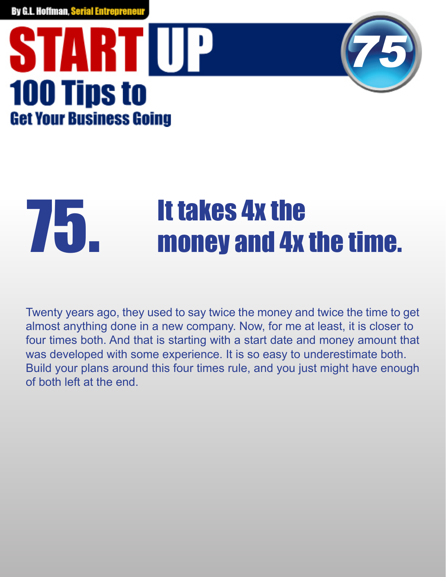### **START UP 100 Tips to Get Your Business Going**



# **THE TEAMER IT TAKES 4x the Filme.**<br>The money and 4x the time.

Twenty years ago, they used to say twice the money and twice the time to get almost anything done in a new company. Now, for me at least, it is closer to four times both. And that is starting with a start date and money amount that was developed with some experience. It is so easy to underestimate both. Build your plans around this four times rule, and you just might have enough of both left at the end.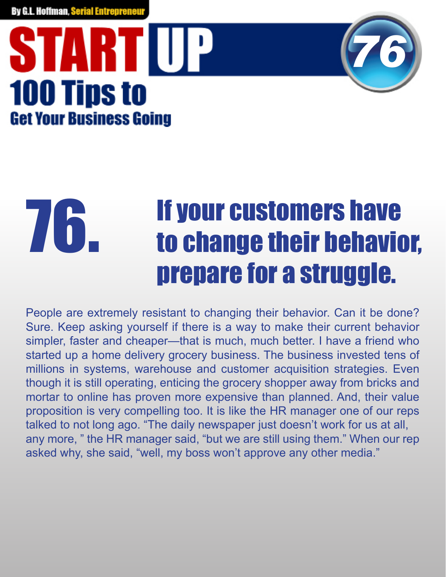### STARTIUP **100 Tips to Get Your Business Going**



#### If your customers have to change their behavior, prepare for a struggle. 76.

People are extremely resistant to changing their behavior. Can it be done? Sure. Keep asking yourself if there is a way to make their current behavior simpler, faster and cheaper—that is much, much better. I have a friend who started up a home delivery grocery business. The business invested tens of millions in systems, warehouse and customer acquisition strategies. Even though it is still operating, enticing the grocery shopper away from bricks and mortar to online has proven more expensive than planned. And, their value proposition is very compelling too. It is like the HR manager one of our reps talked to not long ago. "The daily newspaper just doesn't work for us at all, any more, " the HR manager said, "but we are still using them." When our rep asked why, she said, "well, my boss won't approve any other media."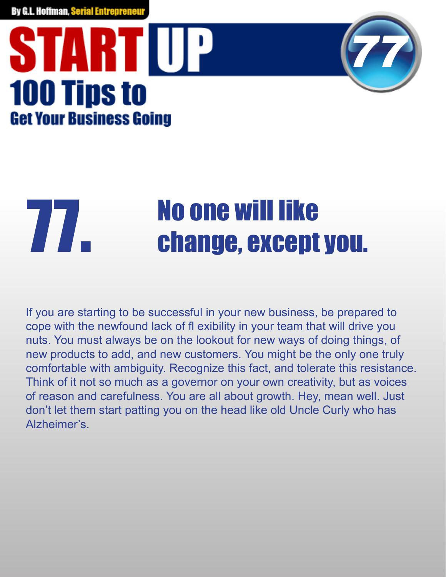## STARTIUP **100 Tips to Get Your Business Going**



# **77. No one will like**<br>**Change, except you.**

If you are starting to be successful in your new business, be prepared to cope with the newfound lack of fl exibility in your team that will drive you nuts. You must always be on the lookout for new ways of doing things, of new products to add, and new customers. You might be the only one truly comfortable with ambiguity. Recognize this fact, and tolerate this resistance. Think of it not so much as a governor on your own creativity, but as voices of reason and carefulness. You are all about growth. Hey, mean well. Just don't let them start patting you on the head like old Uncle Curly who has Alzheimer's.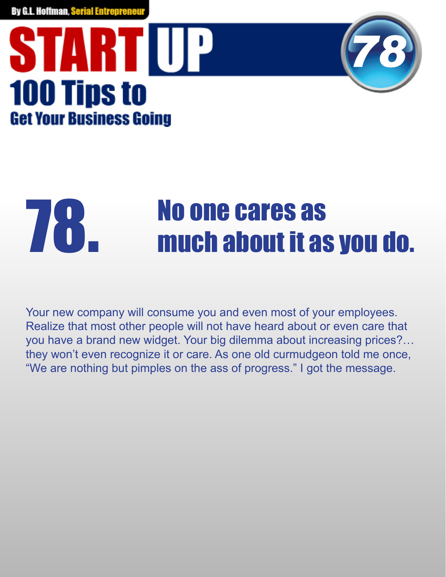### STARTIUP **100 Tips to Get Your Business Going**



# **18. Moone cares as<br>The much about it as you do.**

Your new company will consume you and even most of your employees. Realize that most other people will not have heard about or even care that you have a brand new widget. Your big dilemma about increasing prices?… they won't even recognize it or care. As one old curmudgeon told me once, "We are nothing but pimples on the ass of progress." I got the message.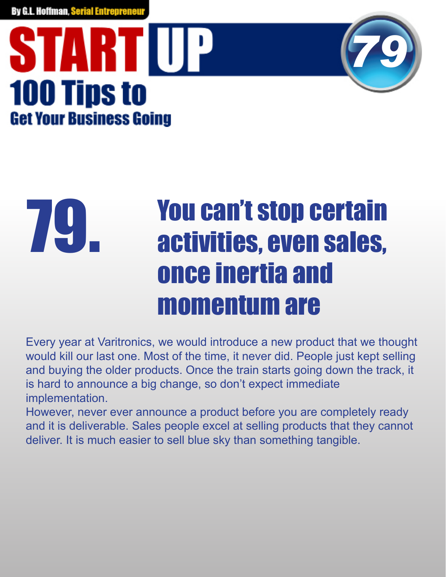## STARTIUP **100 Tips to Get Your Business Going**



#### You can't stop certain activities, even sales, once inertia and momentum are 79.

Every year at Varitronics, we would introduce a new product that we thought would kill our last one. Most of the time, it never did. People just kept selling and buying the older products. Once the train starts going down the track, it is hard to announce a big change, so don't expect immediate implementation.

However, never ever announce a product before you are completely ready and it is deliverable. Sales people excel at selling products that they cannot deliver. It is much easier to sell blue sky than something tangible.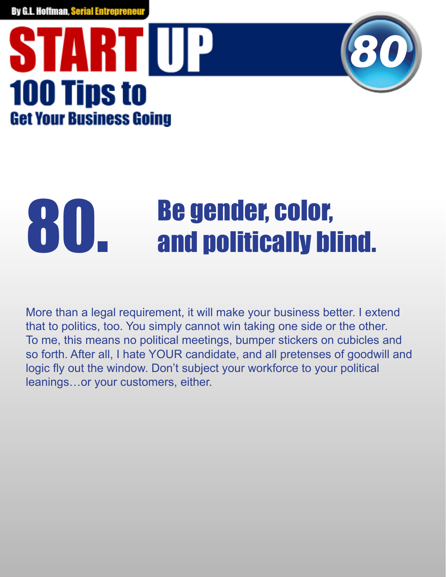### STARTIUP **100 Tips to Get Your Business Going**



# **80. Be gender, color,<br>80. Be and politically blind.**

More than a legal requirement, it will make your business better. I extend that to politics, too. You simply cannot win taking one side or the other. To me, this means no political meetings, bumper stickers on cubicles and so forth. After all, I hate YOUR candidate, and all pretenses of goodwill and logic fly out the window. Don't subject your workforce to your political leanings…or your customers, either.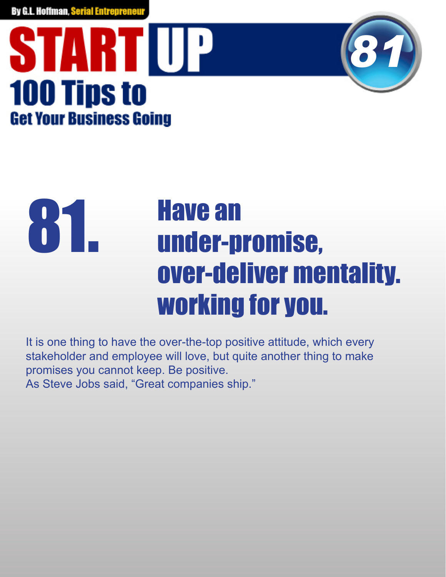## STARTIUP **100 Tips to Get Your Business Going**



#### Have an under-promise, over-deliver mentality. working for you. 81.

It is one thing to have the over-the-top positive attitude, which every stakeholder and employee will love, but quite another thing to make promises you cannot keep. Be positive. As Steve Jobs said, "Great companies ship."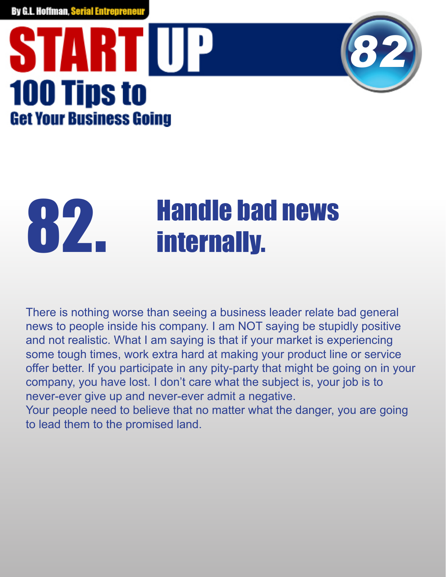### **START UP 100 Tips to Get Your Business Going**



# **82. Handle bad news<br>and the set of the set of the set of the set of the set of the set of the set of the set of the set of the set o<br>respectively.**

There is nothing worse than seeing a business leader relate bad general news to people inside his company. I am NOT saying be stupidly positive and not realistic. What I am saying is that if your market is experiencing some tough times, work extra hard at making your product line or service offer better. If you participate in any pity-party that might be going on in your company, you have lost. I don't care what the subject is, your job is to never-ever give up and never-ever admit a negative.

Your people need to believe that no matter what the danger, you are going to lead them to the promised land.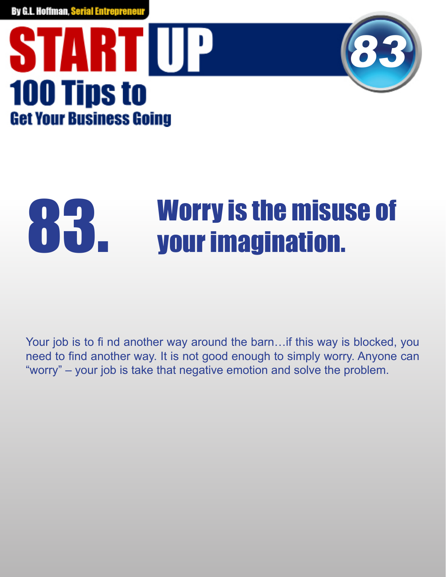



# **83. Worry is the misuse of your imagination.**

Your job is to fi nd another way around the barn... if this way is blocked, you need to find another way. It is not good enough to simply worry. Anyone can "worry" – your job is take that negative emotion and solve the problem.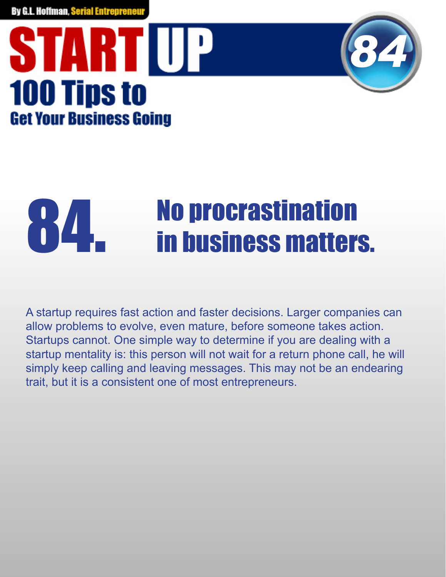### STARTUP **100 Tips to Get Your Business Going**



# **84. No procrastination<br>in business matters.**

A startup requires fast action and faster decisions. Larger companies can allow problems to evolve, even mature, before someone takes action. Startups cannot. One simple way to determine if you are dealing with a startup mentality is: this person will not wait for a return phone call, he will simply keep calling and leaving messages. This may not be an endearing trait, but it is a consistent one of most entrepreneurs.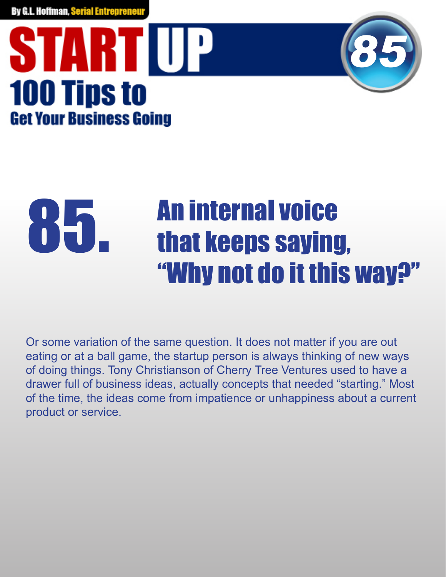



#### An internal voice that keeps saying, "Why not do it this way?" 85.

Or some variation of the same question. It does not matter if you are out eating or at a ball game, the startup person is always thinking of new ways of doing things. Tony Christianson of Cherry Tree Ventures used to have a drawer full of business ideas, actually concepts that needed "starting." Most of the time, the ideas come from impatience or unhappiness about a current product or service.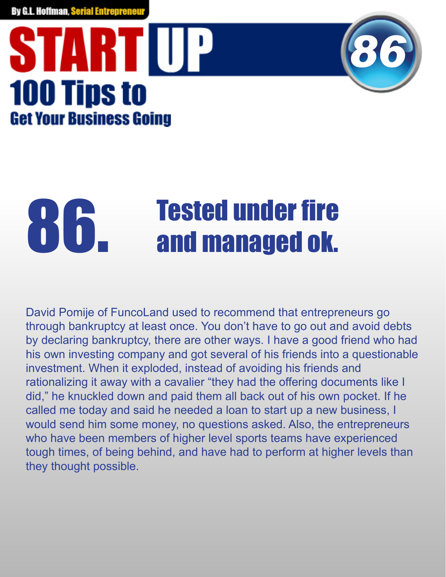## STARTUP **100 Tips to Get Your Business Going**



# **86. Tested under fire**<br>**86. and managed ok.**

David Pomije of FuncoLand used to recommend that entrepreneurs go through bankruptcy at least once. You don't have to go out and avoid debts by declaring bankruptcy, there are other ways. I have a good friend who had his own investing company and got several of his friends into a questionable investment. When it exploded, instead of avoiding his friends and rationalizing it away with a cavalier "they had the offering documents like I did," he knuckled down and paid them all back out of his own pocket. If he called me today and said he needed a loan to start up a new business, I would send him some money, no questions asked. Also, the entrepreneurs who have been members of higher level sports teams have experienced tough times, of being behind, and have had to perform at higher levels than they thought possible.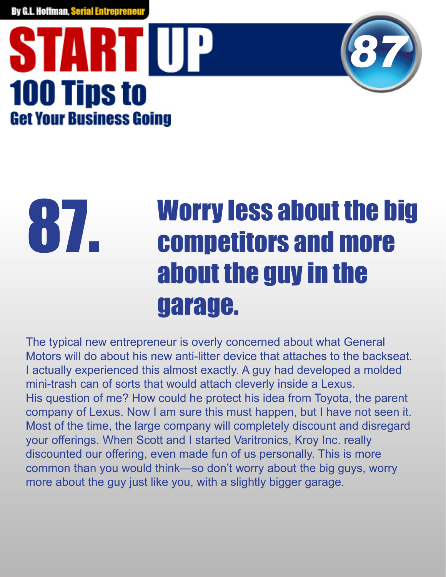## STARTIUP **100 Tips to Get Your Business Going**



#### Worry less about the big competitors and more about the guy in the garage. 87.

The typical new entrepreneur is overly concerned about what General Motors will do about his new anti-litter device that attaches to the backseat. I actually experienced this almost exactly. A guy had developed a molded mini-trash can of sorts that would attach cleverly inside a Lexus. His question of me? How could he protect his idea from Toyota, the parent company of Lexus. Now I am sure this must happen, but I have not seen it. Most of the time, the large company will completely discount and disregard your offerings. When Scott and I started Varitronics, Kroy Inc. really discounted our offering, even made fun of us personally. This is more common than you would think—so don't worry about the big guys, worry more about the guy just like you, with a slightly bigger garage.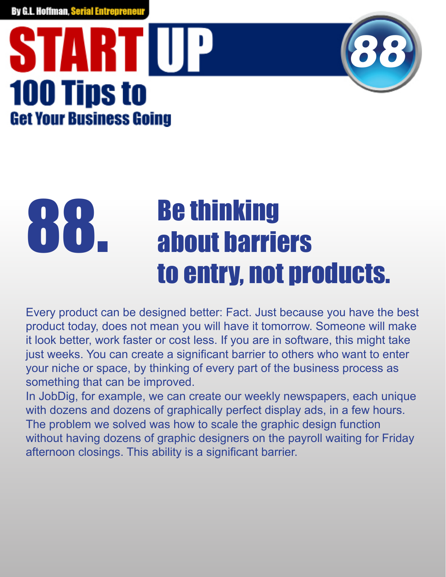## STARTIUP **100 Tips to Get Your Business Going**



#### Be thinking about barriers to entry, not products. 88.

Every product can be designed better: Fact. Just because you have the best product today, does not mean you will have it tomorrow. Someone will make it look better, work faster or cost less. If you are in software, this might take just weeks. You can create a significant barrier to others who want to enter your niche or space, by thinking of every part of the business process as something that can be improved.

In JobDig, for example, we can create our weekly newspapers, each unique with dozens and dozens of graphically perfect display ads, in a few hours. The problem we solved was how to scale the graphic design function without having dozens of graphic designers on the payroll waiting for Friday afternoon closings. This ability is a significant barrier.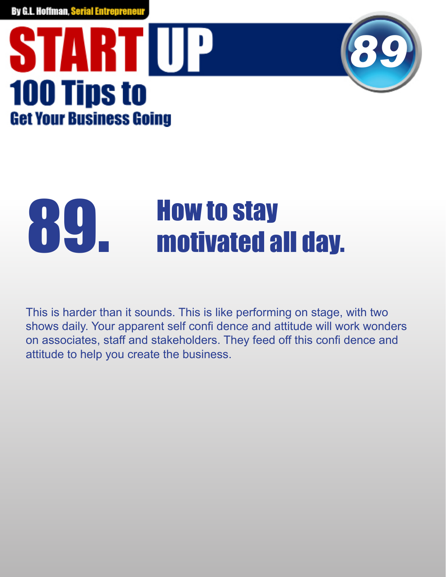### STARTIUP **100 Tips to Get Your Business Going**



## 89. How to stay<br>motivated all day.

This is harder than it sounds. This is like performing on stage, with two shows daily. Your apparent self confi dence and attitude will work wonders on associates, staff and stakeholders. They feed off this confi dence and attitude to help you create the business.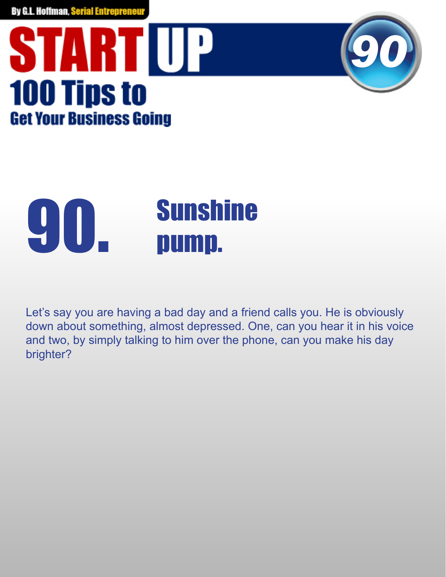



## **90. Sunshine**<br> **90. pump.**

Let's say you are having a bad day and a friend calls you. He is obviously down about something, almost depressed. One, can you hear it in his voice and two, by simply talking to him over the phone, can you make his day brighter?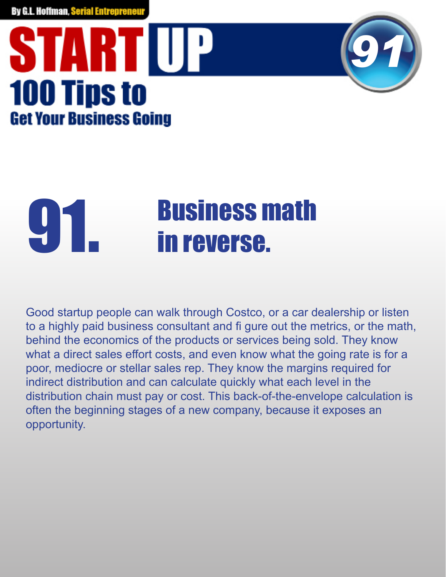## STARTUP **100 Tips to Get Your Business Going**



# **91. Business math<br>in reverse.**

Good startup people can walk through Costco, or a car dealership or listen to a highly paid business consultant and fi gure out the metrics, or the math, behind the economics of the products or services being sold. They know what a direct sales effort costs, and even know what the going rate is for a poor, mediocre or stellar sales rep. They know the margins required for indirect distribution and can calculate quickly what each level in the distribution chain must pay or cost. This back-of-the-envelope calculation is often the beginning stages of a new company, because it exposes an opportunity.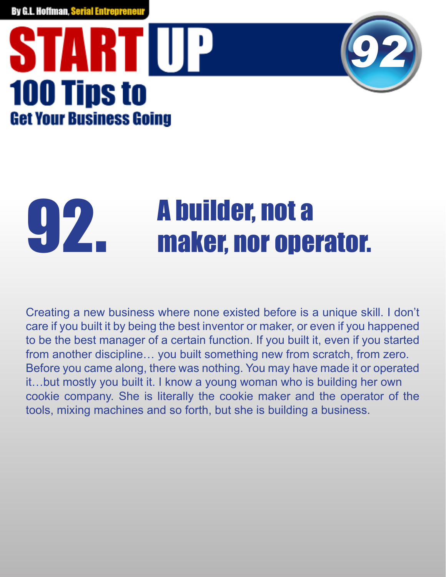### STARTIUP **100 Tips to Get Your Business Going**



# **g 2. Solutilder, not a 9.2. maker, nor operator.**

Creating a new business where none existed before is a unique skill. I don't care if you built it by being the best inventor or maker, or even if you happened to be the best manager of a certain function. If you built it, even if you started from another discipline… you built something new from scratch, from zero. Before you came along, there was nothing. You may have made it or operated it…but mostly you built it. I know a young woman who is building her own cookie company. She is literally the cookie maker and the operator of the tools, mixing machines and so forth, but she is building a business.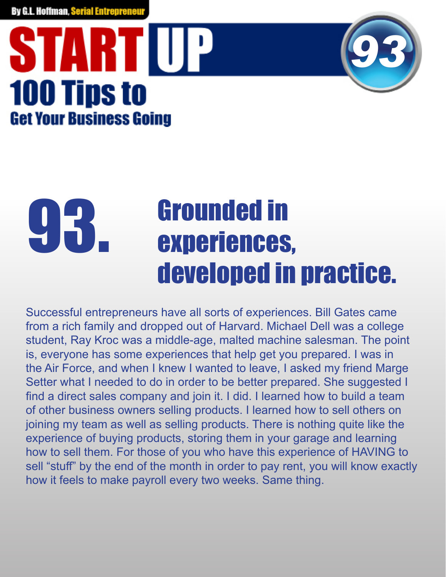## STARTIUP **100 Tips to Get Your Business Going**



#### Grounded in experiences, developed in practice. 93.

Successful entrepreneurs have all sorts of experiences. Bill Gates came from a rich family and dropped out of Harvard. Michael Dell was a college student, Ray Kroc was a middle-age, malted machine salesman. The point is, everyone has some experiences that help get you prepared. I was in the Air Force, and when I knew I wanted to leave, I asked my friend Marge Setter what I needed to do in order to be better prepared. She suggested I find a direct sales company and join it. I did. I learned how to build a team of other business owners selling products. I learned how to sell others on joining my team as well as selling products. There is nothing quite like the experience of buying products, storing them in your garage and learning how to sell them. For those of you who have this experience of HAVING to sell "stuff" by the end of the month in order to pay rent, you will know exactly how it feels to make payroll every two weeks. Same thing.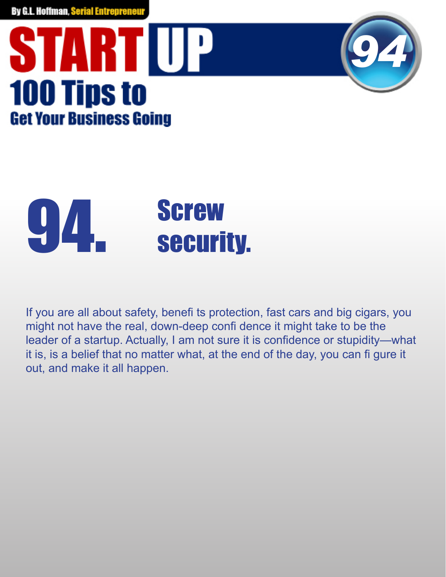## STARTUP **100 Tips to Get Your Business Going**



# **94.** Screw<br>security.

If you are all about safety, benefits protection, fast cars and big cigars, you might not have the real, down-deep confi dence it might take to be the leader of a startup. Actually, I am not sure it is confidence or stupidity—what it is, is a belief that no matter what, at the end of the day, you can fi gure it out, and make it all happen.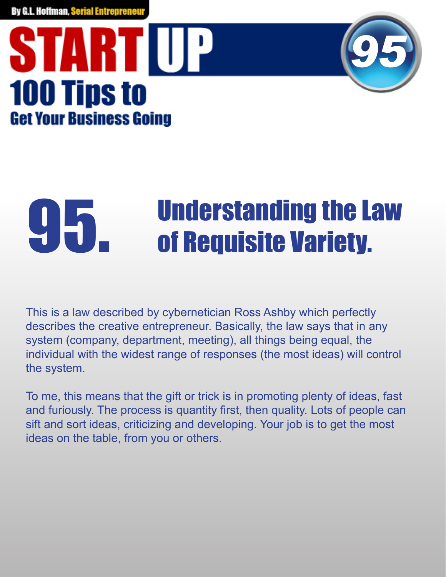### STARTIUP **100 Tips to Get Your Business Going**



# **Understanding the Law of Requisite Variety.**

This is a law described by cybernetician Ross Ashby which perfectly describes the creative entrepreneur. Basically, the law says that in any system (company, department, meeting), all things being equal, the individual with the widest range of responses (the most ideas) will control the system.

To me, this means that the gift or trick is in promoting plenty of ideas, fast and furiously. The process is quantity first, then quality. Lots of people can sift and sort ideas, criticizing and developing. Your job is to get the most ideas on the table, from you or others.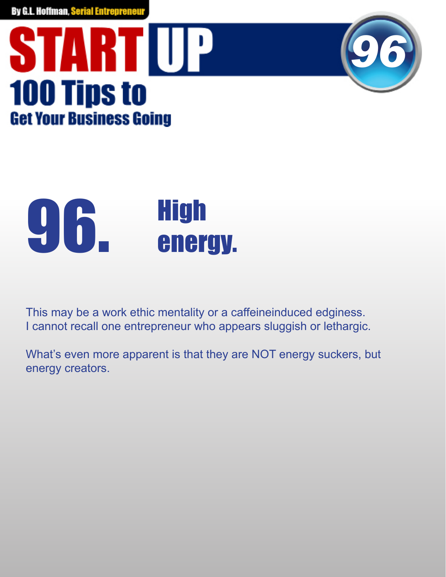



## $96.$  High

This may be a work ethic mentality or a caffeineinduced edginess. I cannot recall one entrepreneur who appears sluggish or lethargic.

What's even more apparent is that they are NOT energy suckers, but energy creators.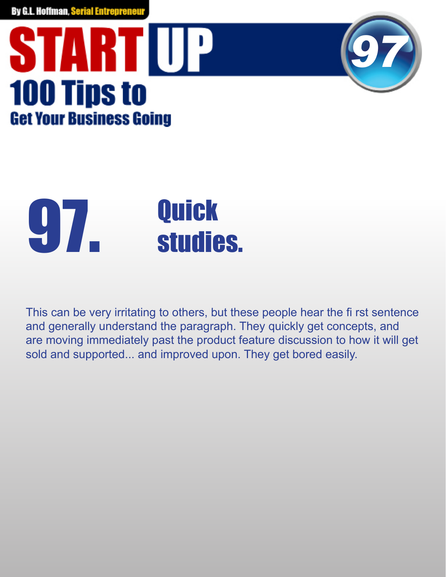## **START UP 100 Tips to Get Your Business Going**



# **gazza duick<br>Studies.**

This can be very irritating to others, but these people hear the first sentence and generally understand the paragraph. They quickly get concepts, and are moving immediately past the product feature discussion to how it will get sold and supported... and improved upon. They get bored easily.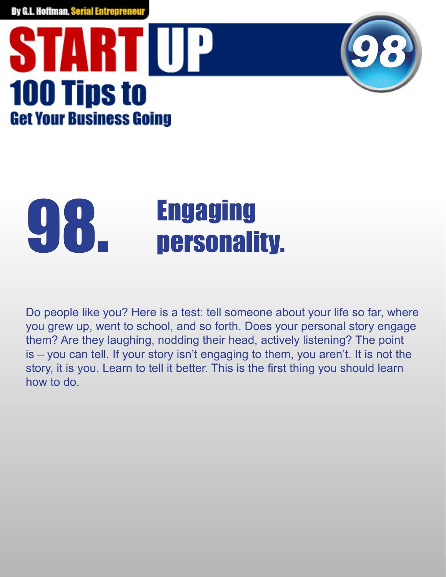### **START UP 100 Tips to Get Your Business Going**



# **g 8. Figaging Engaging**

Do people like you? Here is a test: tell someone about your life so far, where you grew up, went to school, and so forth. Does your personal story engage them? Are they laughing, nodding their head, actively listening? The point is – you can tell. If your story isn't engaging to them, you aren't. It is not the story, it is you. Learn to tell it better. This is the first thing you should learn how to do.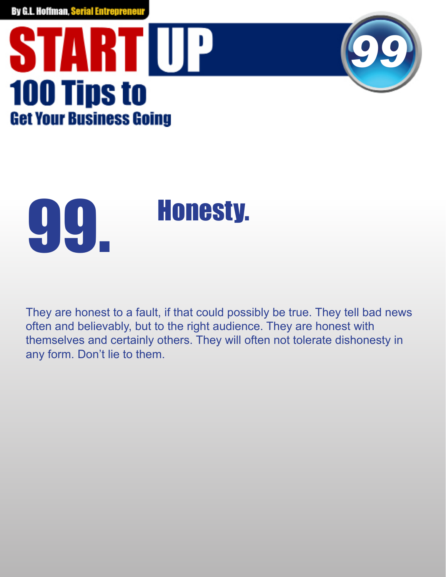## **START UP 100 Tips to Get Your Business Going**





They are honest to a fault, if that could possibly be true. They tell bad news often and believably, but to the right audience. They are honest with themselves and certainly others. They will often not tolerate dishonesty in any form. Don't lie to them.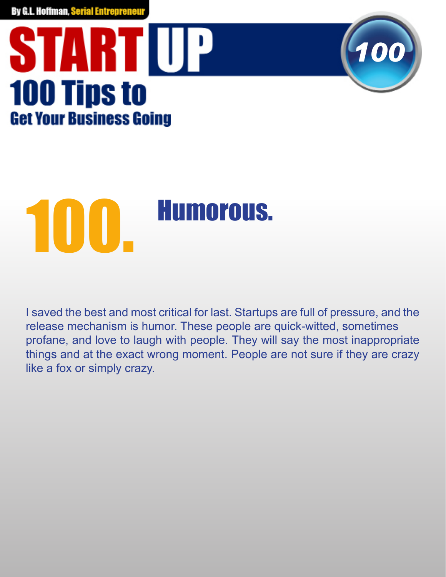### **START UP 100 Tips to Get Your Business Going**



I saved the best and most critical for last. Startups are full of pressure, and the release mechanism is humor. These people are quick-witted, sometimes profane, and love to laugh with people. They will say the most inappropriate things and at the exact wrong moment. People are not sure if they are crazy like a fox or simply crazy.

*100*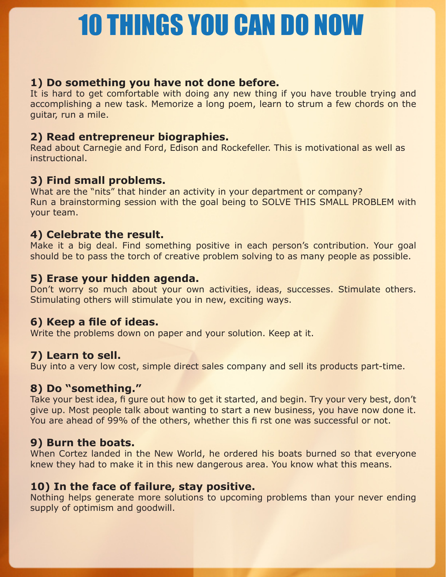### 10 THINGS YOU CAN DO NOW

#### **1) Do something you have not done before.**

It is hard to get comfortable with doing any new thing if you have trouble trying and accomplishing a new task. Memorize a long poem, learn to strum a few chords on the guitar, run a mile.

#### **2) Read entrepreneur biographies.**

Read about Carnegie and Ford, Edison and Rockefeller. This is motivational as well as **instructional** 

#### **3) Find small problems.**

What are the "nits" that hinder an activity in your department or company? Run a brainstorming session with the goal being to SOLVE THIS SMALL PROBLEM with your team.

#### **4) Celebrate the result.**

Make it a big deal. Find something positive in each person's contribution. Your goal should be to pass the torch of creative problem solving to as many people as possible.

#### **5) Erase your hidden agenda.**

Don't worry so much about your own activities, ideas, successes. Stimulate others. Stimulating others will stimulate you in new, exciting ways.

#### 6) Keep a file of ideas.

Write the problems down on paper and your solution. Keep at it.

#### **7) Learn to sell.**

Buy into a very low cost, simple direct sales company and sell its products part-time.

#### **8) Do "something."**

Take your best idea, fi gure out how to get it started, and begin. Try your very best, don't give up. Most people talk about wanting to start a new business, you have now done it. You are ahead of 99% of the others, whether this fi rst one was successful or not.

#### **9) Burn the boats.**

When Cortez landed in the New World, he ordered his boats burned so that everyone knew they had to make it in this new dangerous area. You know what this means.

#### **10) In the face of failure, stay positive.**

Nothing helps generate more solutions to upcoming problems than your never ending supply of optimism and goodwill.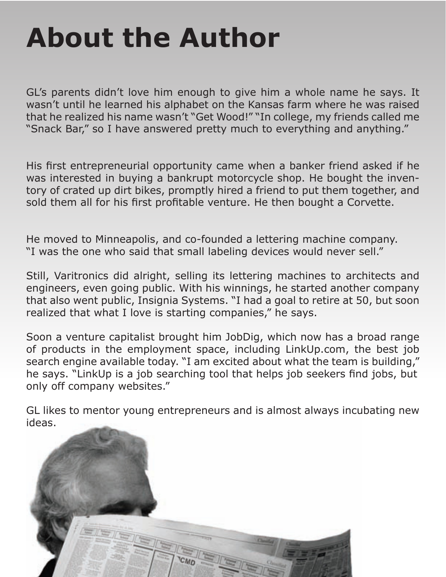### **About the Author**

GL's parents didn't love him enough to give him a whole name he says. It wasn't until he learned his alphabet on the Kansas farm where he was raised that he realized his name wasn't "Get Wood!" "In college, my friends called me "Snack Bar," so I have answered pretty much to everything and anything."

His first entrepreneurial opportunity came when a banker friend asked if he was interested in buying a bankrupt motorcycle shop. He bought the inventory of crated up dirt bikes, promptly hired a friend to put them together, and sold them all for his first profitable venture. He then bought a Corvette.

He moved to Minneapolis, and co-founded a lettering machine company. "I was the one who said that small labeling devices would never sell."

Still, Varitronics did alright, selling its lettering machines to architects and engineers, even going public. With his winnings, he started another company that also went public, Insignia Systems. "I had a goal to retire at 50, but soon realized that what I love is starting companies," he says.

Soon a venture capitalist brought him JobDig, which now has a broad range of products in the employment space, including LinkUp.com, the best job search engine available today. "I am excited about what the team is building," he says. "LinkUp is a job searching tool that helps job seekers find jobs, but only off company websites."

GL likes to mentor young entrepreneurs and is almost always incubating new ideas.

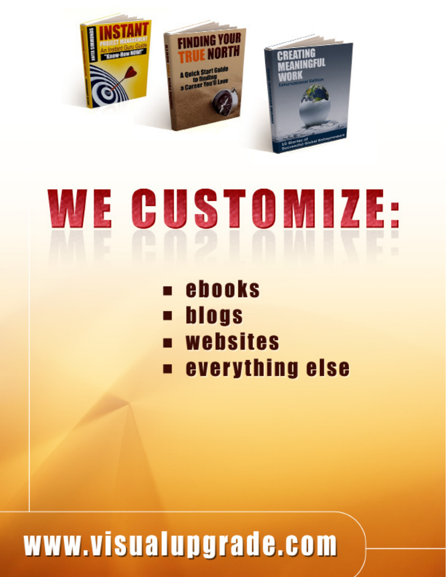

# WE GUSTOMIZE.

- ebooks
- blogs
- **u** websites
- **everything else**

### www.visualupgrade.com